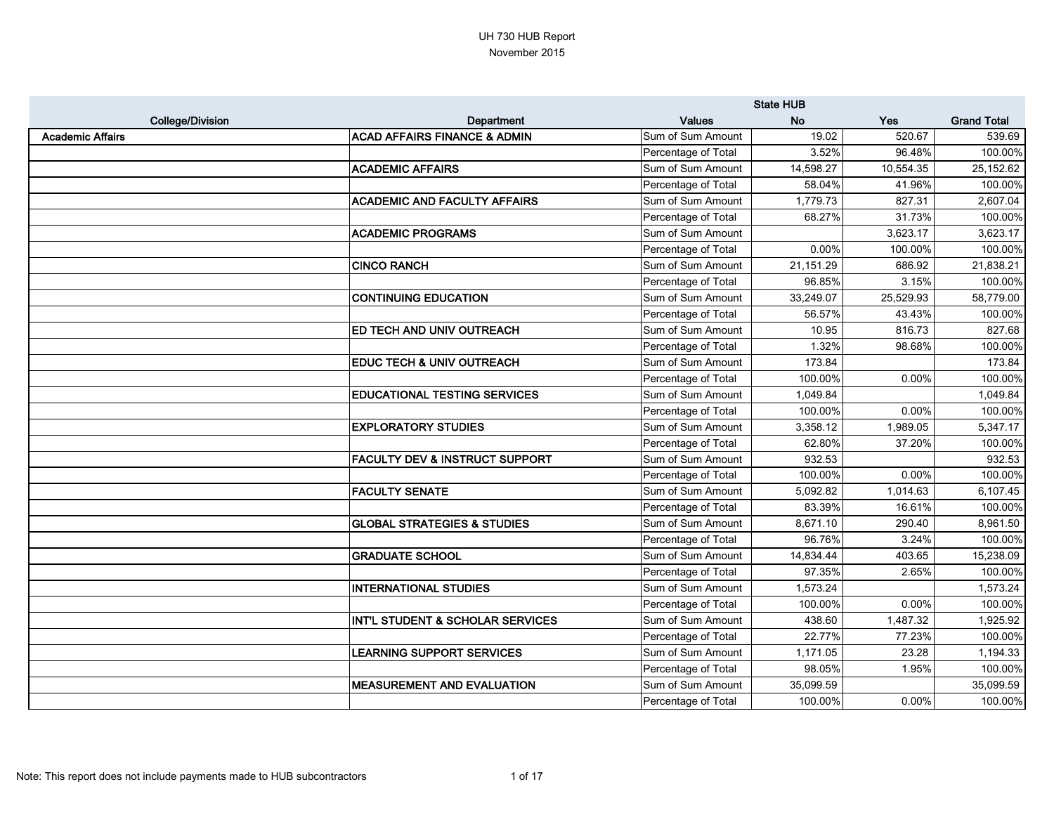|                         |                                             |                     | <b>State HUB</b> |            |                    |
|-------------------------|---------------------------------------------|---------------------|------------------|------------|--------------------|
| <b>College/Division</b> | <b>Department</b>                           | <b>Values</b>       | <b>No</b>        | <b>Yes</b> | <b>Grand Total</b> |
| <b>Academic Affairs</b> | <b>ACAD AFFAIRS FINANCE &amp; ADMIN</b>     | Sum of Sum Amount   | 19.02            | 520.67     | 539.69             |
|                         |                                             | Percentage of Total | 3.52%            | 96.48%     | 100.00%            |
|                         | <b>ACADEMIC AFFAIRS</b>                     | Sum of Sum Amount   | 14,598.27        | 10,554.35  | 25,152.62          |
|                         |                                             | Percentage of Total | 58.04%           | 41.96%     | 100.00%            |
|                         | <b>ACADEMIC AND FACULTY AFFAIRS</b>         | Sum of Sum Amount   | 1,779.73         | 827.31     | 2,607.04           |
|                         |                                             | Percentage of Total | 68.27%           | 31.73%     | 100.00%            |
|                         | <b>ACADEMIC PROGRAMS</b>                    | Sum of Sum Amount   |                  | 3,623.17   | 3,623.17           |
|                         |                                             | Percentage of Total | 0.00%            | 100.00%    | 100.00%            |
|                         | <b>CINCO RANCH</b>                          | Sum of Sum Amount   | 21,151.29        | 686.92     | 21,838.21          |
|                         |                                             | Percentage of Total | 96.85%           | 3.15%      | 100.00%            |
|                         | <b>CONTINUING EDUCATION</b>                 | Sum of Sum Amount   | 33,249.07        | 25,529.93  | 58,779.00          |
|                         |                                             | Percentage of Total | 56.57%           | 43.43%     | 100.00%            |
|                         | <b>ED TECH AND UNIV OUTREACH</b>            | Sum of Sum Amount   | 10.95            | 816.73     | 827.68             |
|                         |                                             | Percentage of Total | 1.32%            | 98.68%     | 100.00%            |
|                         | <b>EDUC TECH &amp; UNIV OUTREACH</b>        | Sum of Sum Amount   | 173.84           |            | 173.84             |
|                         |                                             | Percentage of Total | 100.00%          | 0.00%      | 100.00%            |
|                         | <b>EDUCATIONAL TESTING SERVICES</b>         | Sum of Sum Amount   | 1,049.84         |            | 1,049.84           |
|                         |                                             | Percentage of Total | 100.00%          | 0.00%      | 100.00%            |
|                         | <b>EXPLORATORY STUDIES</b>                  | Sum of Sum Amount   | 3,358.12         | 1,989.05   | 5,347.17           |
|                         |                                             | Percentage of Total | 62.80%           | 37.20%     | 100.00%            |
|                         | <b>FACULTY DEV &amp; INSTRUCT SUPPORT</b>   | Sum of Sum Amount   | 932.53           |            | 932.53             |
|                         |                                             | Percentage of Total | 100.00%          | $0.00\%$   | 100.00%            |
|                         | <b>FACULTY SENATE</b>                       | Sum of Sum Amount   | 5,092.82         | 1,014.63   | 6,107.45           |
|                         |                                             | Percentage of Total | 83.39%           | 16.61%     | 100.00%            |
|                         | <b>GLOBAL STRATEGIES &amp; STUDIES</b>      | Sum of Sum Amount   | 8,671.10         | 290.40     | 8,961.50           |
|                         |                                             | Percentage of Total | 96.76%           | 3.24%      | 100.00%            |
|                         | <b>GRADUATE SCHOOL</b>                      | Sum of Sum Amount   | 14,834.44        | 403.65     | 15,238.09          |
|                         |                                             | Percentage of Total | 97.35%           | 2.65%      | 100.00%            |
|                         | <b>INTERNATIONAL STUDIES</b>                | Sum of Sum Amount   | 1,573.24         |            | 1,573.24           |
|                         |                                             | Percentage of Total | 100.00%          | 0.00%      | 100.00%            |
|                         | <b>INT'L STUDENT &amp; SCHOLAR SERVICES</b> | Sum of Sum Amount   | 438.60           | 1,487.32   | 1,925.92           |
|                         |                                             | Percentage of Total | 22.77%           | 77.23%     | 100.00%            |
|                         | <b>LEARNING SUPPORT SERVICES</b>            | Sum of Sum Amount   | 1,171.05         | 23.28      | 1,194.33           |
|                         |                                             | Percentage of Total | 98.05%           | 1.95%      | 100.00%            |
|                         | <b>MEASUREMENT AND EVALUATION</b>           | Sum of Sum Amount   | 35,099.59        |            | 35,099.59          |
|                         |                                             | Percentage of Total | 100.00%          | 0.00%      | 100.00%            |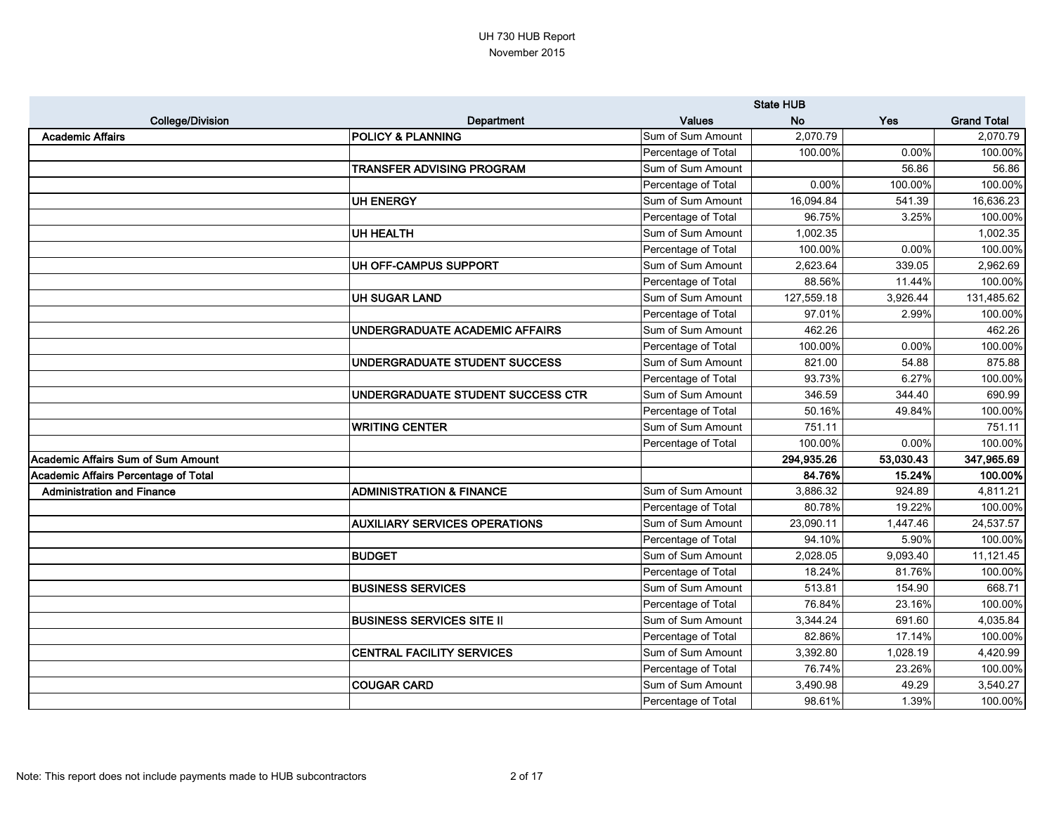|                                             |                                      |                     | <b>State HUB</b> |           |                    |
|---------------------------------------------|--------------------------------------|---------------------|------------------|-----------|--------------------|
| <b>College/Division</b>                     | Department                           | <b>Values</b>       | <b>No</b>        | Yes       | <b>Grand Total</b> |
| <b>Academic Affairs</b>                     | <b>POLICY &amp; PLANNING</b>         | Sum of Sum Amount   | 2,070.79         |           | 2,070.79           |
|                                             |                                      | Percentage of Total | 100.00%          | 0.00%     | 100.00%            |
|                                             | TRANSFER ADVISING PROGRAM            | Sum of Sum Amount   |                  | 56.86     | 56.86              |
|                                             |                                      | Percentage of Total | 0.00%            | 100.00%   | 100.00%            |
|                                             | <b>UH ENERGY</b>                     | Sum of Sum Amount   | 16,094.84        | 541.39    | 16,636.23          |
|                                             |                                      | Percentage of Total | 96.75%           | 3.25%     | 100.00%            |
|                                             | <b>UH HEALTH</b>                     | Sum of Sum Amount   | 1,002.35         |           | 1,002.35           |
|                                             |                                      | Percentage of Total | 100.00%          | 0.00%     | 100.00%            |
|                                             | UH OFF-CAMPUS SUPPORT                | Sum of Sum Amount   | 2,623.64         | 339.05    | 2,962.69           |
|                                             |                                      | Percentage of Total | 88.56%           | 11.44%    | 100.00%            |
|                                             | <b>UH SUGAR LAND</b>                 | Sum of Sum Amount   | 127,559.18       | 3,926.44  | 131,485.62         |
|                                             |                                      | Percentage of Total | 97.01%           | 2.99%     | 100.00%            |
|                                             | UNDERGRADUATE ACADEMIC AFFAIRS       | Sum of Sum Amount   | 462.26           |           | 462.26             |
|                                             |                                      | Percentage of Total | 100.00%          | 0.00%     | 100.00%            |
|                                             | UNDERGRADUATE STUDENT SUCCESS        | Sum of Sum Amount   | 821.00           | 54.88     | 875.88             |
|                                             |                                      | Percentage of Total | 93.73%           | 6.27%     | 100.00%            |
|                                             | UNDERGRADUATE STUDENT SUCCESS CTR    | Sum of Sum Amount   | 346.59           | 344.40    | 690.99             |
|                                             |                                      | Percentage of Total | 50.16%           | 49.84%    | 100.00%            |
|                                             | <b>WRITING CENTER</b>                | Sum of Sum Amount   | 751.11           |           | 751.11             |
|                                             |                                      | Percentage of Total | 100.00%          | 0.00%     | 100.00%            |
| <b>Academic Affairs Sum of Sum Amount</b>   |                                      |                     | 294,935.26       | 53,030.43 | 347,965.69         |
| <b>Academic Affairs Percentage of Total</b> |                                      |                     | 84.76%           | 15.24%    | 100.00%            |
| <b>Administration and Finance</b>           | <b>ADMINISTRATION &amp; FINANCE</b>  | Sum of Sum Amount   | 3,886.32         | 924.89    | 4,811.21           |
|                                             |                                      | Percentage of Total | 80.78%           | 19.22%    | 100.00%            |
|                                             | <b>AUXILIARY SERVICES OPERATIONS</b> | Sum of Sum Amount   | 23,090.11        | 1,447.46  | 24,537.57          |
|                                             |                                      | Percentage of Total | 94.10%           | 5.90%     | 100.00%            |
|                                             | <b>BUDGET</b>                        | Sum of Sum Amount   | 2,028.05         | 9,093.40  | 11,121.45          |
|                                             |                                      | Percentage of Total | 18.24%           | 81.76%    | 100.00%            |
|                                             | <b>BUSINESS SERVICES</b>             | Sum of Sum Amount   | 513.81           | 154.90    | 668.71             |
|                                             |                                      | Percentage of Total | 76.84%           | 23.16%    | 100.00%            |
|                                             | <b>BUSINESS SERVICES SITE II</b>     | Sum of Sum Amount   | 3,344.24         | 691.60    | 4,035.84           |
|                                             |                                      | Percentage of Total | 82.86%           | 17.14%    | 100.00%            |
|                                             | <b>CENTRAL FACILITY SERVICES</b>     | Sum of Sum Amount   | 3,392.80         | 1,028.19  | 4,420.99           |
|                                             |                                      | Percentage of Total | 76.74%           | 23.26%    | 100.00%            |
|                                             | <b>COUGAR CARD</b>                   | Sum of Sum Amount   | 3,490.98         | 49.29     | 3,540.27           |
|                                             |                                      | Percentage of Total | 98.61%           | 1.39%     | 100.00%            |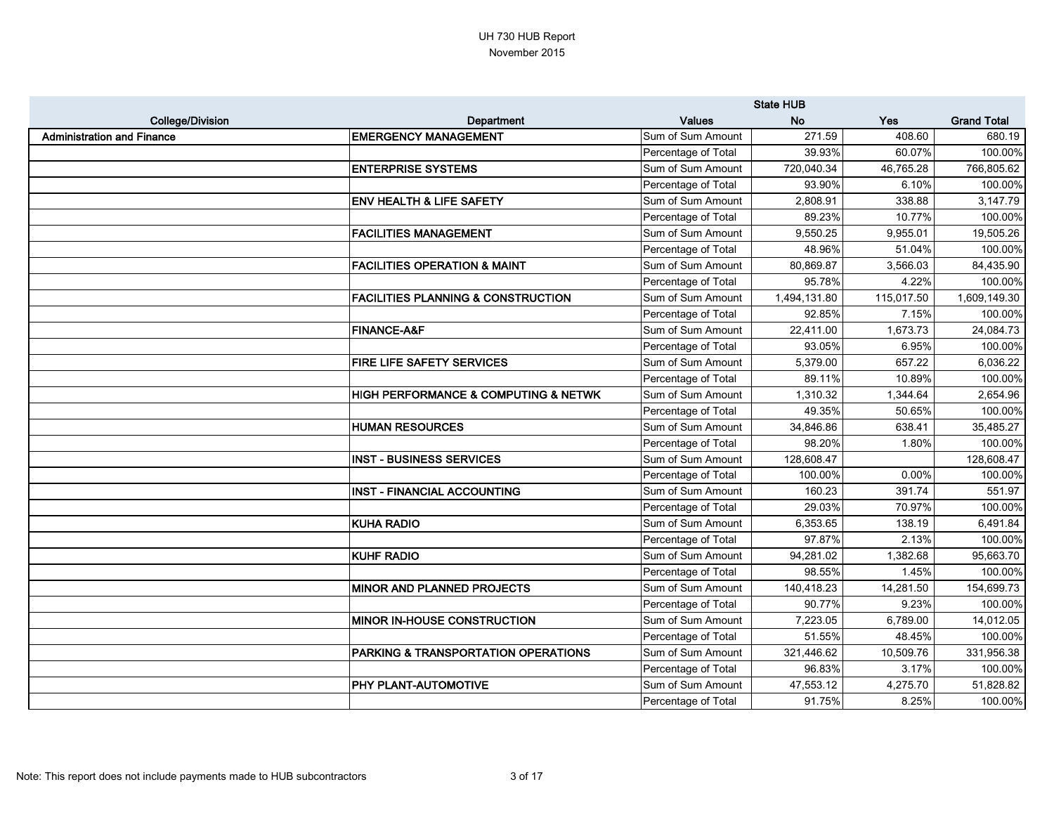|                                   |                                                     |                     | <b>State HUB</b> |            |                    |
|-----------------------------------|-----------------------------------------------------|---------------------|------------------|------------|--------------------|
| <b>College/Division</b>           | Department                                          | <b>Values</b>       | <b>No</b>        | Yes        | <b>Grand Total</b> |
| <b>Administration and Finance</b> | <b>EMERGENCY MANAGEMENT</b>                         | Sum of Sum Amount   | 271.59           | 408.60     | 680.19             |
|                                   |                                                     | Percentage of Total | 39.93%           | 60.07%     | 100.00%            |
|                                   | <b>ENTERPRISE SYSTEMS</b>                           | Sum of Sum Amount   | 720,040.34       | 46,765.28  | 766,805.62         |
|                                   |                                                     | Percentage of Total | 93.90%           | 6.10%      | 100.00%            |
|                                   | <b>ENV HEALTH &amp; LIFE SAFETY</b>                 | Sum of Sum Amount   | 2,808.91         | 338.88     | 3,147.79           |
|                                   |                                                     | Percentage of Total | 89.23%           | 10.77%     | 100.00%            |
|                                   | <b>FACILITIES MANAGEMENT</b>                        | Sum of Sum Amount   | 9,550.25         | 9,955.01   | 19,505.26          |
|                                   |                                                     | Percentage of Total | 48.96%           | 51.04%     | 100.00%            |
|                                   | <b>FACILITIES OPERATION &amp; MAINT</b>             | Sum of Sum Amount   | 80,869.87        | 3,566.03   | 84,435.90          |
|                                   |                                                     | Percentage of Total | 95.78%           | 4.22%      | 100.00%            |
|                                   | <b>FACILITIES PLANNING &amp; CONSTRUCTION</b>       | Sum of Sum Amount   | 1,494,131.80     | 115,017.50 | 1,609,149.30       |
|                                   |                                                     | Percentage of Total | 92.85%           | 7.15%      | 100.00%            |
|                                   | <b>FINANCE-A&amp;F</b>                              | Sum of Sum Amount   | 22,411.00        | 1,673.73   | 24,084.73          |
|                                   |                                                     | Percentage of Total | 93.05%           | 6.95%      | 100.00%            |
|                                   | <b>FIRE LIFE SAFETY SERVICES</b>                    | Sum of Sum Amount   | 5,379.00         | 657.22     | 6,036.22           |
|                                   |                                                     | Percentage of Total | 89.11%           | 10.89%     | 100.00%            |
|                                   | <b>HIGH PERFORMANCE &amp; COMPUTING &amp; NETWK</b> | Sum of Sum Amount   | 1,310.32         | 1,344.64   | 2,654.96           |
|                                   |                                                     | Percentage of Total | 49.35%           | 50.65%     | 100.00%            |
|                                   | <b>HUMAN RESOURCES</b>                              | Sum of Sum Amount   | 34,846.86        | 638.41     | 35,485.27          |
|                                   |                                                     | Percentage of Total | 98.20%           | 1.80%      | 100.00%            |
|                                   | <b>INST - BUSINESS SERVICES</b>                     | Sum of Sum Amount   | 128,608.47       |            | 128,608.47         |
|                                   |                                                     | Percentage of Total | 100.00%          | 0.00%      | 100.00%            |
|                                   | <b>INST - FINANCIAL ACCOUNTING</b>                  | Sum of Sum Amount   | 160.23           | 391.74     | 551.97             |
|                                   |                                                     | Percentage of Total | 29.03%           | 70.97%     | 100.00%            |
|                                   | <b>KUHA RADIO</b>                                   | Sum of Sum Amount   | 6,353.65         | 138.19     | 6,491.84           |
|                                   |                                                     | Percentage of Total | 97.87%           | 2.13%      | 100.00%            |
|                                   | <b>KUHF RADIO</b>                                   | Sum of Sum Amount   | 94,281.02        | 1,382.68   | 95,663.70          |
|                                   |                                                     | Percentage of Total | 98.55%           | 1.45%      | 100.00%            |
|                                   | <b>MINOR AND PLANNED PROJECTS</b>                   | Sum of Sum Amount   | 140,418.23       | 14,281.50  | 154,699.73         |
|                                   |                                                     | Percentage of Total | 90.77%           | 9.23%      | 100.00%            |
|                                   | <b>MINOR IN-HOUSE CONSTRUCTION</b>                  | Sum of Sum Amount   | 7,223.05         | 6,789.00   | 14,012.05          |
|                                   |                                                     | Percentage of Total | 51.55%           | 48.45%     | 100.00%            |
|                                   | <b>PARKING &amp; TRANSPORTATION OPERATIONS</b>      | Sum of Sum Amount   | 321,446.62       | 10,509.76  | 331,956.38         |
|                                   |                                                     | Percentage of Total | 96.83%           | 3.17%      | 100.00%            |
|                                   | <b>PHY PLANT-AUTOMOTIVE</b>                         | Sum of Sum Amount   | 47,553.12        | 4,275.70   | 51,828.82          |
|                                   |                                                     | Percentage of Total | 91.75%           | 8.25%      | 100.00%            |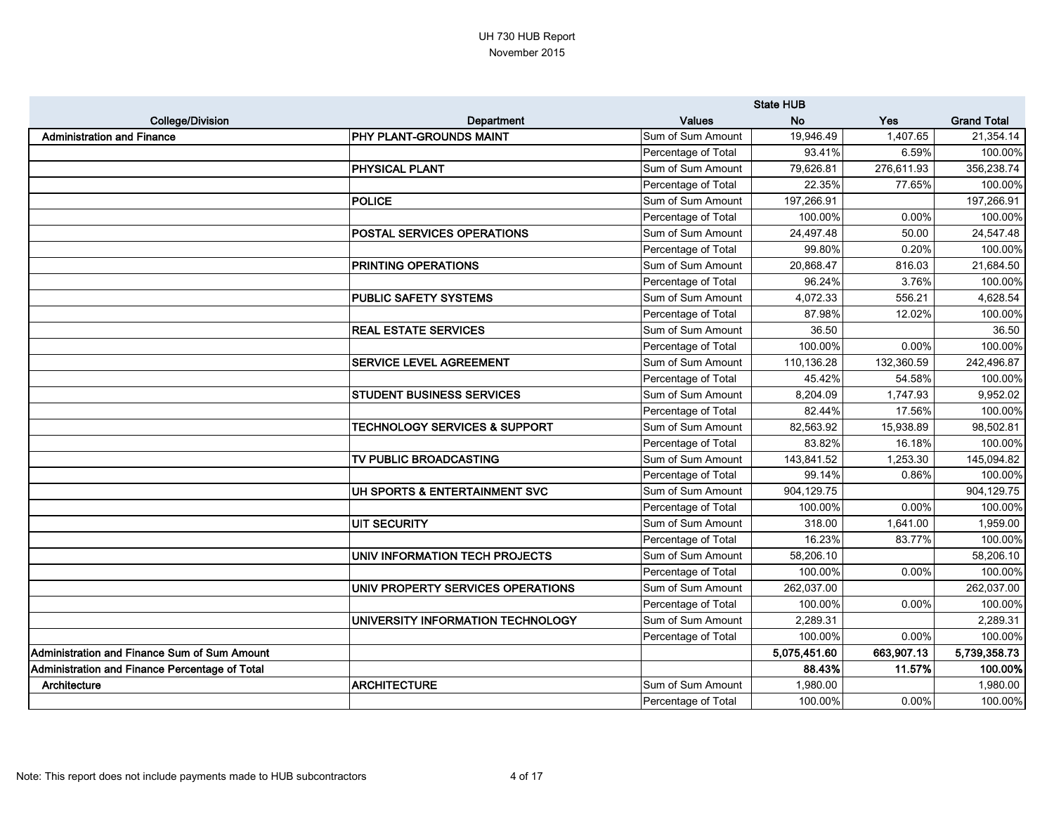|                                                |                                          |                     | <b>State HUB</b> |            |                    |
|------------------------------------------------|------------------------------------------|---------------------|------------------|------------|--------------------|
| <b>College/Division</b>                        | Department                               | <b>Values</b>       | <b>No</b>        | <b>Yes</b> | <b>Grand Total</b> |
| <b>Administration and Finance</b>              | <b>PHY PLANT-GROUNDS MAINT</b>           | Sum of Sum Amount   | 19,946.49        | 1,407.65   | 21,354.14          |
|                                                |                                          | Percentage of Total | 93.41%           | 6.59%      | 100.00%            |
|                                                | <b>PHYSICAL PLANT</b>                    | Sum of Sum Amount   | 79,626.81        | 276,611.93 | 356,238.74         |
|                                                |                                          | Percentage of Total | 22.35%           | 77.65%     | 100.00%            |
|                                                | <b>POLICE</b>                            | Sum of Sum Amount   | 197,266.91       |            | 197,266.91         |
|                                                |                                          | Percentage of Total | 100.00%          | 0.00%      | 100.00%            |
|                                                | <b>POSTAL SERVICES OPERATIONS</b>        | Sum of Sum Amount   | 24,497.48        | 50.00      | 24,547.48          |
|                                                |                                          | Percentage of Total | 99.80%           | 0.20%      | 100.00%            |
|                                                | <b>PRINTING OPERATIONS</b>               | Sum of Sum Amount   | 20,868.47        | 816.03     | 21,684.50          |
|                                                |                                          | Percentage of Total | 96.24%           | 3.76%      | 100.00%            |
|                                                | <b>PUBLIC SAFETY SYSTEMS</b>             | Sum of Sum Amount   | 4,072.33         | 556.21     | 4,628.54           |
|                                                |                                          | Percentage of Total | 87.98%           | 12.02%     | 100.00%            |
|                                                | <b>REAL ESTATE SERVICES</b>              | Sum of Sum Amount   | 36.50            |            | 36.50              |
|                                                |                                          | Percentage of Total | 100.00%          | 0.00%      | 100.00%            |
|                                                | <b>SERVICE LEVEL AGREEMENT</b>           | Sum of Sum Amount   | 110,136.28       | 132,360.59 | 242,496.87         |
|                                                |                                          | Percentage of Total | 45.42%           | 54.58%     | 100.00%            |
|                                                | <b>STUDENT BUSINESS SERVICES</b>         | Sum of Sum Amount   | 8,204.09         | 1,747.93   | 9,952.02           |
|                                                |                                          | Percentage of Total | 82.44%           | 17.56%     | 100.00%            |
|                                                | <b>TECHNOLOGY SERVICES &amp; SUPPORT</b> | Sum of Sum Amount   | 82,563.92        | 15,938.89  | 98,502.81          |
|                                                |                                          | Percentage of Total | 83.82%           | 16.18%     | 100.00%            |
|                                                | TV PUBLIC BROADCASTING                   | Sum of Sum Amount   | 143,841.52       | 1,253.30   | 145,094.82         |
|                                                |                                          | Percentage of Total | 99.14%           | 0.86%      | 100.00%            |
|                                                | UH SPORTS & ENTERTAINMENT SVC            | Sum of Sum Amount   | 904,129.75       |            | 904,129.75         |
|                                                |                                          | Percentage of Total | 100.00%          | 0.00%      | 100.00%            |
|                                                | <b>UIT SECURITY</b>                      | Sum of Sum Amount   | 318.00           | 1,641.00   | 1,959.00           |
|                                                |                                          | Percentage of Total | 16.23%           | 83.77%     | 100.00%            |
|                                                | UNIV INFORMATION TECH PROJECTS           | Sum of Sum Amount   | 58,206.10        |            | 58,206.10          |
|                                                |                                          | Percentage of Total | 100.00%          | 0.00%      | 100.00%            |
|                                                | UNIV PROPERTY SERVICES OPERATIONS        | Sum of Sum Amount   | 262,037.00       |            | 262,037.00         |
|                                                |                                          | Percentage of Total | 100.00%          | 0.00%      | 100.00%            |
|                                                | UNIVERSITY INFORMATION TECHNOLOGY        | Sum of Sum Amount   | 2,289.31         |            | 2,289.31           |
|                                                |                                          | Percentage of Total | 100.00%          | 0.00%      | 100.00%            |
| Administration and Finance Sum of Sum Amount   |                                          |                     | 5,075,451.60     | 663,907.13 | 5,739,358.73       |
| Administration and Finance Percentage of Total |                                          |                     | 88.43%           | 11.57%     | 100.00%            |
| Architecture                                   | <b>ARCHITECTURE</b>                      | Sum of Sum Amount   | 1,980.00         |            | 1,980.00           |
|                                                |                                          | Percentage of Total | 100.00%          | 0.00%      | 100.00%            |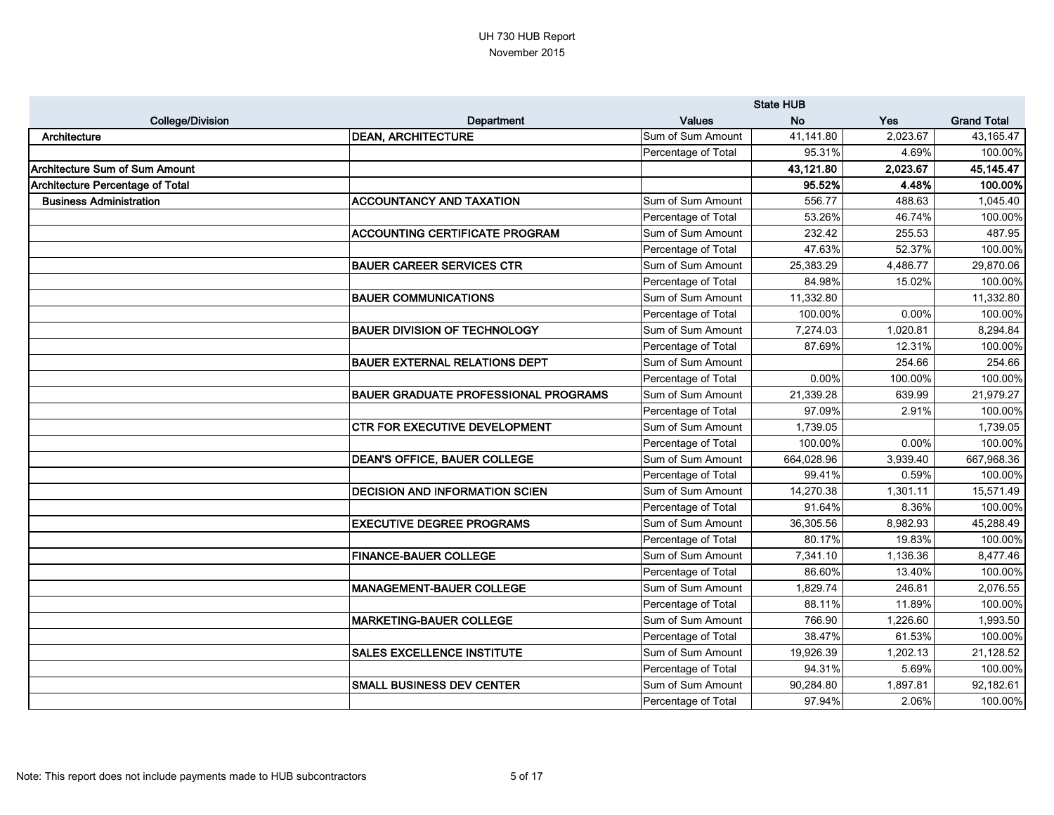|                                         |                                             |                     | <b>State HUB</b> |            |                    |
|-----------------------------------------|---------------------------------------------|---------------------|------------------|------------|--------------------|
| <b>College/Division</b>                 | Department                                  | <b>Values</b>       | <b>No</b>        | <b>Yes</b> | <b>Grand Total</b> |
| Architecture                            | <b>DEAN, ARCHITECTURE</b>                   | Sum of Sum Amount   | 41,141.80        | 2,023.67   | 43,165.47          |
|                                         |                                             | Percentage of Total | 95.31%           | 4.69%      | 100.00%            |
| <b>Architecture Sum of Sum Amount</b>   |                                             |                     | 43,121.80        | 2,023.67   | 45,145.47          |
| <b>Architecture Percentage of Total</b> |                                             |                     | 95.52%           | 4.48%      | 100.00%            |
| <b>Business Administration</b>          | <b>ACCOUNTANCY AND TAXATION</b>             | Sum of Sum Amount   | 556.77           | 488.63     | 1,045.40           |
|                                         |                                             | Percentage of Total | 53.26%           | 46.74%     | 100.00%            |
|                                         | <b>ACCOUNTING CERTIFICATE PROGRAM</b>       | Sum of Sum Amount   | 232.42           | 255.53     | 487.95             |
|                                         |                                             | Percentage of Total | 47.63%           | 52.37%     | 100.00%            |
|                                         | <b>BAUER CAREER SERVICES CTR</b>            | Sum of Sum Amount   | 25,383.29        | 4,486.77   | 29,870.06          |
|                                         |                                             | Percentage of Total | 84.98%           | 15.02%     | 100.00%            |
|                                         | <b>BAUER COMMUNICATIONS</b>                 | Sum of Sum Amount   | 11,332.80        |            | 11,332.80          |
|                                         |                                             | Percentage of Total | 100.00%          | 0.00%      | 100.00%            |
|                                         | <b>BAUER DIVISION OF TECHNOLOGY</b>         | Sum of Sum Amount   | 7,274.03         | 1,020.81   | 8,294.84           |
|                                         |                                             | Percentage of Total | 87.69%           | 12.31%     | 100.00%            |
|                                         | <b>BAUER EXTERNAL RELATIONS DEPT</b>        | Sum of Sum Amount   |                  | 254.66     | 254.66             |
|                                         |                                             | Percentage of Total | 0.00%            | 100.00%    | 100.00%            |
|                                         | <b>BAUER GRADUATE PROFESSIONAL PROGRAMS</b> | Sum of Sum Amount   | 21,339.28        | 639.99     | 21,979.27          |
|                                         |                                             | Percentage of Total | 97.09%           | 2.91%      | 100.00%            |
|                                         | <b>CTR FOR EXECUTIVE DEVELOPMENT</b>        | Sum of Sum Amount   | 1,739.05         |            | 1,739.05           |
|                                         |                                             | Percentage of Total | 100.00%          | 0.00%      | 100.00%            |
|                                         | <b>DEAN'S OFFICE, BAUER COLLEGE</b>         | Sum of Sum Amount   | 664,028.96       | 3,939.40   | 667,968.36         |
|                                         |                                             | Percentage of Total | 99.41%           | 0.59%      | 100.00%            |
|                                         | <b>DECISION AND INFORMATION SCIEN</b>       | Sum of Sum Amount   | 14,270.38        | 1,301.11   | 15,571.49          |
|                                         |                                             | Percentage of Total | 91.64%           | 8.36%      | 100.00%            |
|                                         | <b>EXECUTIVE DEGREE PROGRAMS</b>            | Sum of Sum Amount   | 36,305.56        | 8,982.93   | 45,288.49          |
|                                         |                                             | Percentage of Total | 80.17%           | 19.83%     | 100.00%            |
|                                         | <b>FINANCE-BAUER COLLEGE</b>                | Sum of Sum Amount   | 7,341.10         | 1,136.36   | 8,477.46           |
|                                         |                                             | Percentage of Total | 86.60%           | 13.40%     | 100.00%            |
|                                         | <b>MANAGEMENT-BAUER COLLEGE</b>             | Sum of Sum Amount   | 1,829.74         | 246.81     | 2,076.55           |
|                                         |                                             | Percentage of Total | 88.11%           | 11.89%     | 100.00%            |
|                                         | <b>MARKETING-BAUER COLLEGE</b>              | Sum of Sum Amount   | 766.90           | 1,226.60   | 1,993.50           |
|                                         |                                             | Percentage of Total | 38.47%           | 61.53%     | 100.00%            |
|                                         | <b>SALES EXCELLENCE INSTITUTE</b>           | Sum of Sum Amount   | 19,926.39        | 1,202.13   | 21,128.52          |
|                                         |                                             | Percentage of Total | 94.31%           | 5.69%      | 100.00%            |
|                                         | <b>SMALL BUSINESS DEV CENTER</b>            | Sum of Sum Amount   | 90,284.80        | 1,897.81   | 92,182.61          |
|                                         |                                             | Percentage of Total | 97.94%           | 2.06%      | 100.00%            |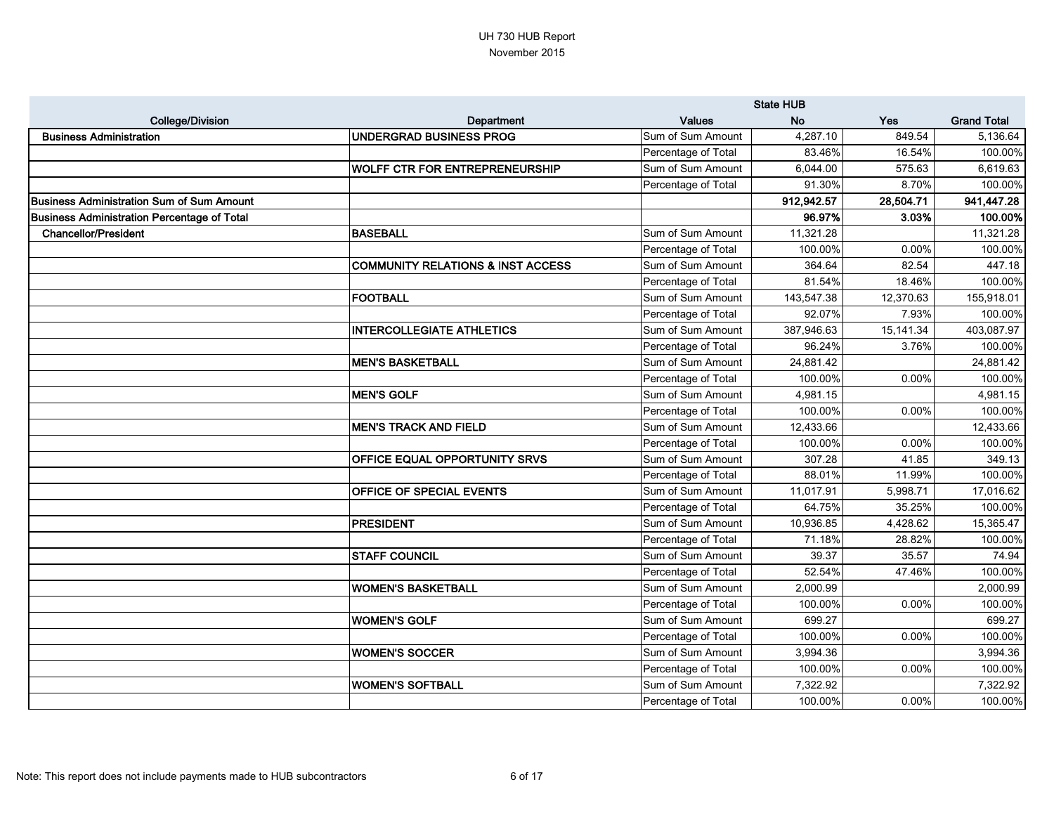|                                                    |                                       |                     | <b>State HUB</b> |            |                    |
|----------------------------------------------------|---------------------------------------|---------------------|------------------|------------|--------------------|
| <b>College/Division</b>                            | <b>Department</b>                     | <b>Values</b>       | <b>No</b>        | <b>Yes</b> | <b>Grand Total</b> |
| <b>Business Administration</b>                     | <b>UNDERGRAD BUSINESS PROG</b>        | Sum of Sum Amount   | 4,287.10         | 849.54     | 5,136.64           |
|                                                    |                                       | Percentage of Total | 83.46%           | 16.54%     | 100.00%            |
|                                                    | <b>WOLFF CTR FOR ENTREPRENEURSHIP</b> | Sum of Sum Amount   | 6,044.00         | 575.63     | 6,619.63           |
|                                                    |                                       | Percentage of Total | 91.30%           | 8.70%      | 100.00%            |
| <b>Business Administration Sum of Sum Amount</b>   |                                       |                     | 912,942.57       | 28,504.71  | 941,447.28         |
| <b>Business Administration Percentage of Total</b> |                                       |                     | 96.97%           | 3.03%      | 100.00%            |
| <b>Chancellor/President</b>                        | <b>BASEBALL</b>                       | Sum of Sum Amount   | 11,321.28        |            | 11,321.28          |
|                                                    |                                       | Percentage of Total | 100.00%          | 0.00%      | 100.00%            |
|                                                    | COMMUNITY RELATIONS & INST ACCESS     | Sum of Sum Amount   | 364.64           | 82.54      | 447.18             |
|                                                    |                                       | Percentage of Total | 81.54%           | 18.46%     | 100.00%            |
|                                                    | <b> FOOTBALL</b>                      | Sum of Sum Amount   | 143,547.38       | 12,370.63  | 155,918.01         |
|                                                    |                                       | Percentage of Total | 92.07%           | 7.93%      | 100.00%            |
|                                                    | <b>INTERCOLLEGIATE ATHLETICS</b>      | Sum of Sum Amount   | 387,946.63       | 15,141.34  | 403,087.97         |
|                                                    |                                       | Percentage of Total | 96.24%           | 3.76%      | 100.00%            |
|                                                    | <b>MEN'S BASKETBALL</b>               | Sum of Sum Amount   | 24,881.42        |            | 24,881.42          |
|                                                    |                                       | Percentage of Total | 100.00%          | 0.00%      | 100.00%            |
|                                                    | <b>MEN'S GOLF</b>                     | Sum of Sum Amount   | 4,981.15         |            | 4,981.15           |
|                                                    |                                       | Percentage of Total | 100.00%          | 0.00%      | 100.00%            |
|                                                    | <b>MEN'S TRACK AND FIELD</b>          | Sum of Sum Amount   | 12,433.66        |            | 12,433.66          |
|                                                    |                                       | Percentage of Total | 100.00%          | 0.00%      | 100.00%            |
|                                                    | <b>OFFICE EQUAL OPPORTUNITY SRVS</b>  | Sum of Sum Amount   | 307.28           | 41.85      | 349.13             |
|                                                    |                                       | Percentage of Total | 88.01%           | 11.99%     | 100.00%            |
|                                                    | <b>OFFICE OF SPECIAL EVENTS</b>       | Sum of Sum Amount   | 11,017.91        | 5,998.71   | 17,016.62          |
|                                                    |                                       | Percentage of Total | 64.75%           | 35.25%     | 100.00%            |
|                                                    | PRESIDENT                             | Sum of Sum Amount   | 10,936.85        | 4,428.62   | 15,365.47          |
|                                                    |                                       | Percentage of Total | 71.18%           | 28.82%     | 100.00%            |
|                                                    | <b>STAFF COUNCIL</b>                  | Sum of Sum Amount   | 39.37            | 35.57      | 74.94              |
|                                                    |                                       | Percentage of Total | 52.54%           | 47.46%     | 100.00%            |
|                                                    | <b>WOMEN'S BASKETBALL</b>             | Sum of Sum Amount   | 2,000.99         |            | 2,000.99           |
|                                                    |                                       | Percentage of Total | 100.00%          | 0.00%      | 100.00%            |
|                                                    | <b>WOMEN'S GOLF</b>                   | Sum of Sum Amount   | 699.27           |            | 699.27             |
|                                                    |                                       | Percentage of Total | 100.00%          | 0.00%      | 100.00%            |
|                                                    | <b>WOMEN'S SOCCER</b>                 | Sum of Sum Amount   | 3,994.36         |            | 3,994.36           |
|                                                    |                                       | Percentage of Total | 100.00%          | 0.00%      | 100.00%            |
|                                                    | <b>WOMEN'S SOFTBALL</b>               | Sum of Sum Amount   | 7,322.92         |            | 7,322.92           |
|                                                    |                                       | Percentage of Total | 100.00%          | 0.00%      | 100.00%            |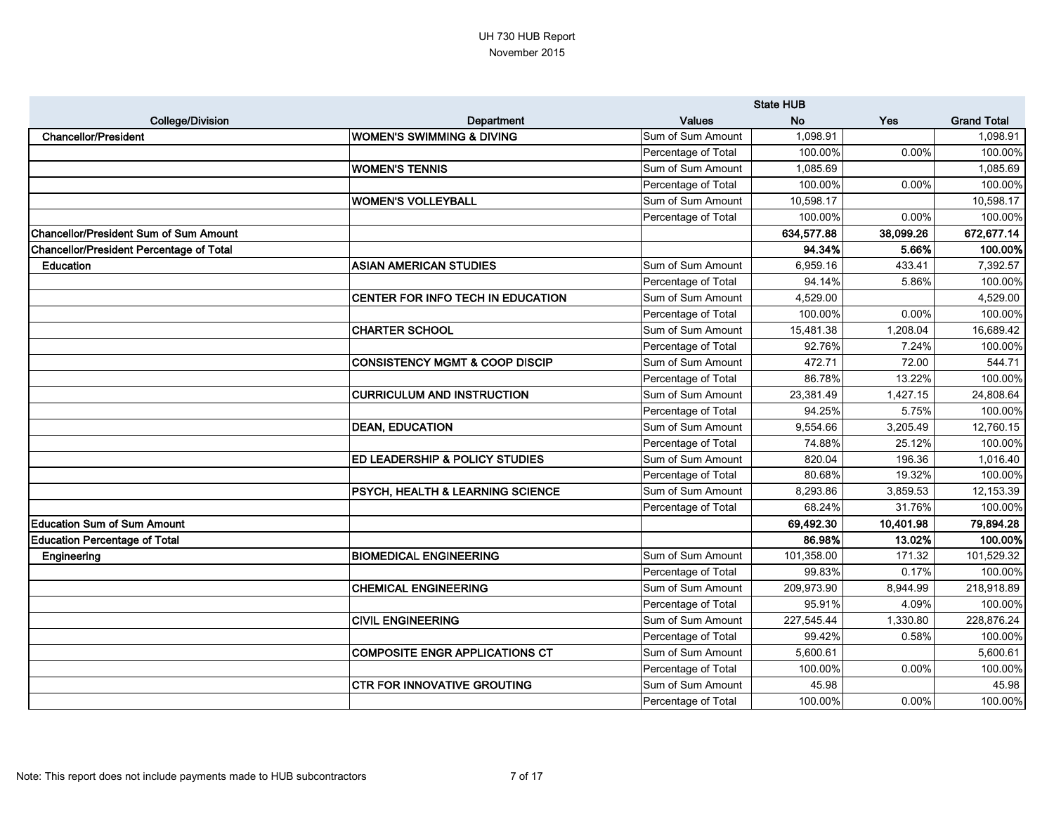|                                                 |                                             |                     | <b>State HUB</b> |           |                    |
|-------------------------------------------------|---------------------------------------------|---------------------|------------------|-----------|--------------------|
| <b>College/Division</b>                         | Department                                  | <b>Values</b>       | <b>No</b>        | Yes       | <b>Grand Total</b> |
| <b>Chancellor/President</b>                     | IWOMEN'S SWIMMING & DIVING                  | Sum of Sum Amount   | 1,098.91         |           | 1,098.91           |
|                                                 |                                             | Percentage of Total | 100.00%          | 0.00%     | 100.00%            |
|                                                 | <b>WOMEN'S TENNIS</b>                       | Sum of Sum Amount   | 1,085.69         |           | 1,085.69           |
|                                                 |                                             | Percentage of Total | 100.00%          | 0.00%     | 100.00%            |
|                                                 | <b>WOMEN'S VOLLEYBALL</b>                   | Sum of Sum Amount   | 10,598.17        |           | 10,598.17          |
|                                                 |                                             | Percentage of Total | 100.00%          | 0.00%     | 100.00%            |
| <b>Chancellor/President Sum of Sum Amount</b>   |                                             |                     | 634,577.88       | 38,099.26 | 672,677.14         |
| <b>Chancellor/President Percentage of Total</b> |                                             |                     | 94.34%           | 5.66%     | 100.00%            |
| <b>Education</b>                                | <b>ASIAN AMERICAN STUDIES</b>               | Sum of Sum Amount   | 6,959.16         | 433.41    | 7,392.57           |
|                                                 |                                             | Percentage of Total | 94.14%           | 5.86%     | 100.00%            |
|                                                 | CENTER FOR INFO TECH IN EDUCATION           | Sum of Sum Amount   | 4,529.00         |           | 4,529.00           |
|                                                 |                                             | Percentage of Total | 100.00%          | 0.00%     | 100.00%            |
|                                                 | CHARTER SCHOOL                              | Sum of Sum Amount   | 15,481.38        | 1,208.04  | 16,689.42          |
|                                                 |                                             | Percentage of Total | 92.76%           | 7.24%     | 100.00%            |
|                                                 | <b>CONSISTENCY MGMT &amp; COOP DISCIP</b>   | Sum of Sum Amount   | 472.71           | 72.00     | 544.71             |
|                                                 |                                             | Percentage of Total | 86.78%           | 13.22%    | 100.00%            |
|                                                 | <b>CURRICULUM AND INSTRUCTION</b>           | Sum of Sum Amount   | 23,381.49        | 1,427.15  | 24,808.64          |
|                                                 |                                             | Percentage of Total | 94.25%           | 5.75%     | 100.00%            |
|                                                 | <b>DEAN, EDUCATION</b>                      | Sum of Sum Amount   | 9,554.66         | 3,205.49  | 12,760.15          |
|                                                 |                                             | Percentage of Total | 74.88%           | 25.12%    | 100.00%            |
|                                                 | <b>ED LEADERSHIP &amp; POLICY STUDIES</b>   | Sum of Sum Amount   | 820.04           | 196.36    | 1,016.40           |
|                                                 |                                             | Percentage of Total | 80.68%           | 19.32%    | 100.00%            |
|                                                 | <b>PSYCH, HEALTH &amp; LEARNING SCIENCE</b> | Sum of Sum Amount   | 8,293.86         | 3,859.53  | 12,153.39          |
|                                                 |                                             | Percentage of Total | 68.24%           | 31.76%    | 100.00%            |
| <b>Education Sum of Sum Amount</b>              |                                             |                     | 69,492.30        | 10,401.98 | 79,894.28          |
| <b>Education Percentage of Total</b>            |                                             |                     | 86.98%           | 13.02%    | 100.00%            |
| Engineering                                     | <b>BIOMEDICAL ENGINEERING</b>               | Sum of Sum Amount   | 101,358.00       | 171.32    | 101,529.32         |
|                                                 |                                             | Percentage of Total | 99.83%           | 0.17%     | 100.00%            |
|                                                 | <b>CHEMICAL ENGINEERING</b>                 | Sum of Sum Amount   | 209,973.90       | 8,944.99  | 218,918.89         |
|                                                 |                                             | Percentage of Total | 95.91%           | 4.09%     | 100.00%            |
|                                                 | <b>CIVIL ENGINEERING</b>                    | Sum of Sum Amount   | 227,545.44       | 1,330.80  | 228,876.24         |
|                                                 |                                             | Percentage of Total | 99.42%           | 0.58%     | 100.00%            |
|                                                 | <b>COMPOSITE ENGR APPLICATIONS CT</b>       | Sum of Sum Amount   | 5,600.61         |           | 5,600.61           |
|                                                 |                                             | Percentage of Total | 100.00%          | 0.00%     | 100.00%            |
|                                                 | <b>CTR FOR INNOVATIVE GROUTING</b>          | Sum of Sum Amount   | 45.98            |           | 45.98              |
|                                                 |                                             | Percentage of Total | 100.00%          | 0.00%     | 100.00%            |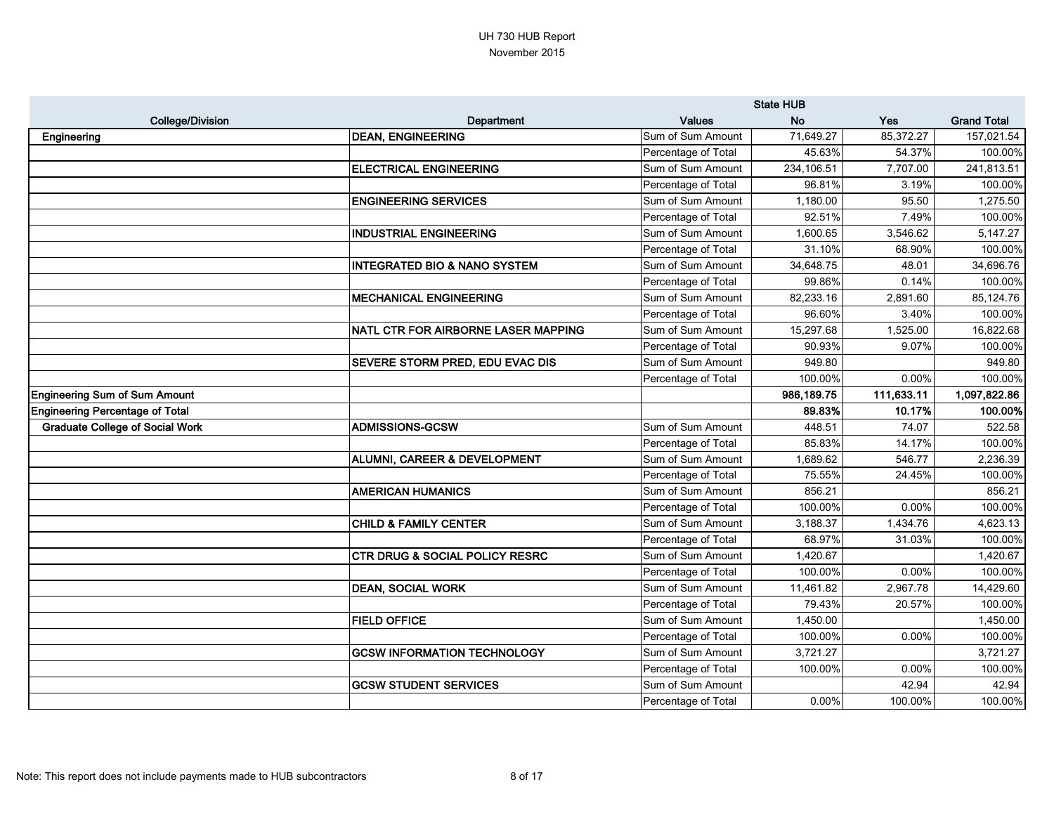|                                        |                                           |                     | <b>State HUB</b> |            |                    |
|----------------------------------------|-------------------------------------------|---------------------|------------------|------------|--------------------|
| <b>College/Division</b>                | Department                                | <b>Values</b>       | <b>No</b>        | <b>Yes</b> | <b>Grand Total</b> |
| Engineering                            | <b>DEAN, ENGINEERING</b>                  | Sum of Sum Amount   | 71,649.27        | 85,372.27  | 157,021.54         |
|                                        |                                           | Percentage of Total | 45.63%           | 54.37%     | 100.00%            |
|                                        | <b>ELECTRICAL ENGINEERING</b>             | Sum of Sum Amount   | 234,106.51       | 7,707.00   | 241,813.51         |
|                                        |                                           | Percentage of Total | 96.81%           | 3.19%      | 100.00%            |
|                                        | <b>ENGINEERING SERVICES</b>               | Sum of Sum Amount   | 1,180.00         | 95.50      | 1,275.50           |
|                                        |                                           | Percentage of Total | 92.51%           | 7.49%      | 100.00%            |
|                                        | <b>INDUSTRIAL ENGINEERING</b>             | Sum of Sum Amount   | 1,600.65         | 3,546.62   | 5,147.27           |
|                                        |                                           | Percentage of Total | 31.10%           | 68.90%     | 100.00%            |
|                                        | <b>INTEGRATED BIO &amp; NANO SYSTEM</b>   | Sum of Sum Amount   | 34,648.75        | 48.01      | 34,696.76          |
|                                        |                                           | Percentage of Total | 99.86%           | 0.14%      | 100.00%            |
|                                        | <b>MECHANICAL ENGINEERING</b>             | Sum of Sum Amount   | 82,233.16        | 2,891.60   | 85,124.76          |
|                                        |                                           | Percentage of Total | 96.60%           | 3.40%      | 100.00%            |
|                                        | NATL CTR FOR AIRBORNE LASER MAPPING       | Sum of Sum Amount   | 15,297.68        | 1,525.00   | 16,822.68          |
|                                        |                                           | Percentage of Total | 90.93%           | 9.07%      | 100.00%            |
|                                        | <b>SEVERE STORM PRED, EDU EVAC DIS</b>    | Sum of Sum Amount   | 949.80           |            | 949.80             |
|                                        |                                           | Percentage of Total | 100.00%          | 0.00%      | 100.00%            |
| <b>Engineering Sum of Sum Amount</b>   |                                           |                     | 986,189.75       | 111,633.11 | 1,097,822.86       |
| <b>Engineering Percentage of Total</b> |                                           |                     | 89.83%           | 10.17%     | 100.00%            |
| <b>Graduate College of Social Work</b> | <b>ADMISSIONS-GCSW</b>                    | Sum of Sum Amount   | 448.51           | 74.07      | 522.58             |
|                                        |                                           | Percentage of Total | 85.83%           | 14.17%     | 100.00%            |
|                                        | <b>ALUMNI, CAREER &amp; DEVELOPMENT</b>   | Sum of Sum Amount   | 1,689.62         | 546.77     | 2,236.39           |
|                                        |                                           | Percentage of Total | 75.55%           | 24.45%     | 100.00%            |
|                                        | <b>AMERICAN HUMANICS</b>                  | Sum of Sum Amount   | 856.21           |            | 856.21             |
|                                        |                                           | Percentage of Total | 100.00%          | 0.00%      | 100.00%            |
|                                        | <b>CHILD &amp; FAMILY CENTER</b>          | Sum of Sum Amount   | 3,188.37         | 1,434.76   | 4,623.13           |
|                                        |                                           | Percentage of Total | 68.97%           | 31.03%     | 100.00%            |
|                                        | <b>CTR DRUG &amp; SOCIAL POLICY RESRC</b> | Sum of Sum Amount   | 1,420.67         |            | 1,420.67           |
|                                        |                                           | Percentage of Total | 100.00%          | 0.00%      | 100.00%            |
|                                        | <b>DEAN, SOCIAL WORK</b>                  | Sum of Sum Amount   | 11,461.82        | 2,967.78   | 14,429.60          |
|                                        |                                           | Percentage of Total | 79.43%           | 20.57%     | 100.00%            |
|                                        | <b>FIELD OFFICE</b>                       | Sum of Sum Amount   | 1,450.00         |            | 1,450.00           |
|                                        |                                           | Percentage of Total | 100.00%          | 0.00%      | 100.00%            |
|                                        | <b>GCSW INFORMATION TECHNOLOGY</b>        | Sum of Sum Amount   | 3,721.27         |            | 3,721.27           |
|                                        |                                           | Percentage of Total | 100.00%          | 0.00%      | 100.00%            |
|                                        | <b>GCSW STUDENT SERVICES</b>              | Sum of Sum Amount   |                  | 42.94      | 42.94              |
|                                        |                                           | Percentage of Total | $0.00\%$         | 100.00%    | 100.00%            |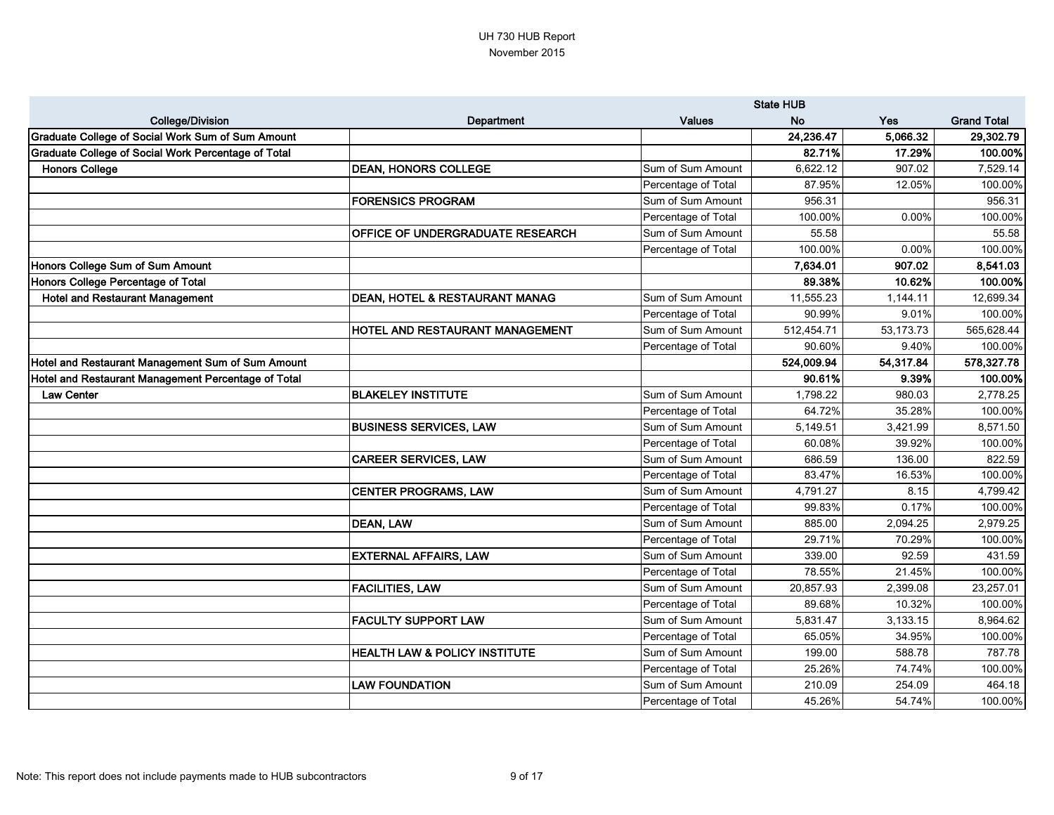|                                                     |                                           |                     | <b>State HUB</b> |            |                    |
|-----------------------------------------------------|-------------------------------------------|---------------------|------------------|------------|--------------------|
| <b>College/Division</b>                             | <b>Department</b>                         | <b>Values</b>       | <b>No</b>        | <b>Yes</b> | <b>Grand Total</b> |
| Graduate College of Social Work Sum of Sum Amount   |                                           |                     | 24,236.47        | 5,066.32   | 29,302.79          |
| Graduate College of Social Work Percentage of Total |                                           |                     | 82.71%           | 17.29%     | 100.00%            |
| <b>Honors College</b>                               | <b>DEAN, HONORS COLLEGE</b>               | Sum of Sum Amount   | 6,622.12         | 907.02     | 7,529.14           |
|                                                     |                                           | Percentage of Total | 87.95%           | 12.05%     | 100.00%            |
|                                                     | <b>FORENSICS PROGRAM</b>                  | Sum of Sum Amount   | 956.31           |            | 956.31             |
|                                                     |                                           | Percentage of Total | 100.00%          | 0.00%      | 100.00%            |
|                                                     | OFFICE OF UNDERGRADUATE RESEARCH          | Sum of Sum Amount   | 55.58            |            | 55.58              |
|                                                     |                                           | Percentage of Total | 100.00%          | 0.00%      | 100.00%            |
| Honors College Sum of Sum Amount                    |                                           |                     | 7,634.01         | 907.02     | 8,541.03           |
| Honors College Percentage of Total                  |                                           |                     | 89.38%           | 10.62%     | 100.00%            |
| <b>Hotel and Restaurant Management</b>              | <b>DEAN, HOTEL &amp; RESTAURANT MANAG</b> | Sum of Sum Amount   | 11,555.23        | 1,144.11   | 12,699.34          |
|                                                     |                                           | Percentage of Total | 90.99%           | 9.01%      | 100.00%            |
|                                                     | HOTEL AND RESTAURANT MANAGEMENT           | Sum of Sum Amount   | 512,454.71       | 53,173.73  | 565,628.44         |
|                                                     |                                           | Percentage of Total | 90.60%           | 9.40%      | 100.00%            |
| Hotel and Restaurant Management Sum of Sum Amount   |                                           |                     | 524,009.94       | 54,317.84  | 578,327.78         |
| Hotel and Restaurant Management Percentage of Total |                                           |                     | 90.61%           | 9.39%      | 100.00%            |
| <b>Law Center</b>                                   | <b>BLAKELEY INSTITUTE</b>                 | Sum of Sum Amount   | 1,798.22         | 980.03     | 2,778.25           |
|                                                     |                                           | Percentage of Total | 64.72%           | 35.28%     | 100.00%            |
|                                                     | <b>BUSINESS SERVICES, LAW</b>             | Sum of Sum Amount   | 5,149.51         | 3,421.99   | 8,571.50           |
|                                                     |                                           | Percentage of Total | 60.08%           | 39.92%     | 100.00%            |
|                                                     | <b>CAREER SERVICES, LAW</b>               | Sum of Sum Amount   | 686.59           | 136.00     | 822.59             |
|                                                     |                                           | Percentage of Total | 83.47%           | 16.53%     | 100.00%            |
|                                                     | <b>CENTER PROGRAMS, LAW</b>               | Sum of Sum Amount   | 4,791.27         | 8.15       | 4,799.42           |
|                                                     |                                           | Percentage of Total | 99.83%           | 0.17%      | 100.00%            |
|                                                     | <b>DEAN, LAW</b>                          | Sum of Sum Amount   | 885.00           | 2,094.25   | 2,979.25           |
|                                                     |                                           | Percentage of Total | 29.71%           | 70.29%     | 100.00%            |
|                                                     | <b>EXTERNAL AFFAIRS, LAW</b>              | Sum of Sum Amount   | 339.00           | 92.59      | 431.59             |
|                                                     |                                           | Percentage of Total | 78.55%           | 21.45%     | 100.00%            |
|                                                     | <b>FACILITIES, LAW</b>                    | Sum of Sum Amount   | 20,857.93        | 2,399.08   | 23,257.01          |
|                                                     |                                           | Percentage of Total | 89.68%           | 10.32%     | 100.00%            |
|                                                     | <b>FACULTY SUPPORT LAW</b>                | Sum of Sum Amount   | 5,831.47         | 3,133.15   | 8,964.62           |
|                                                     |                                           | Percentage of Total | 65.05%           | 34.95%     | 100.00%            |
|                                                     | <b>HEALTH LAW &amp; POLICY INSTITUTE</b>  | Sum of Sum Amount   | 199.00           | 588.78     | 787.78             |
|                                                     |                                           | Percentage of Total | 25.26%           | 74.74%     | 100.00%            |
|                                                     | <b>LAW FOUNDATION</b>                     | Sum of Sum Amount   | 210.09           | 254.09     | 464.18             |
|                                                     |                                           | Percentage of Total | 45.26%           | 54.74%     | 100.00%            |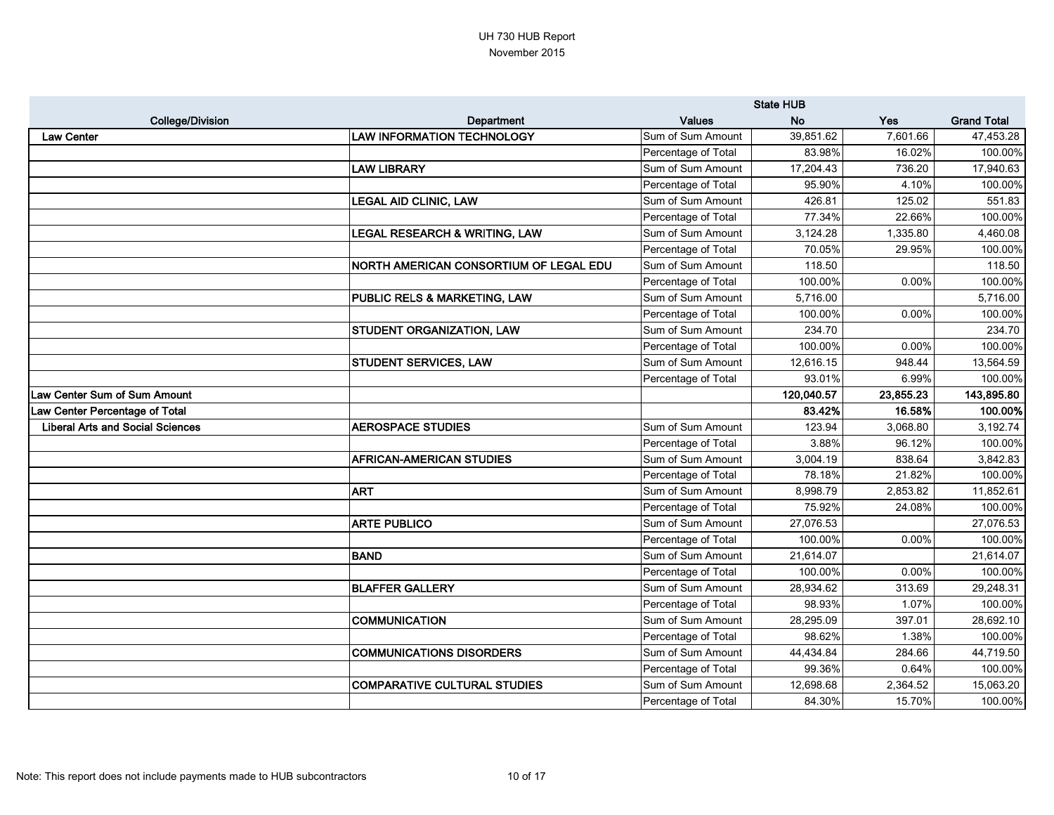|                                         |                                               |                     | <b>State HUB</b> |           |                    |
|-----------------------------------------|-----------------------------------------------|---------------------|------------------|-----------|--------------------|
| <b>College/Division</b>                 | Department                                    | <b>Values</b>       | <b>No</b>        | Yes       | <b>Grand Total</b> |
| <b>Law Center</b>                       | <b>LAW INFORMATION TECHNOLOGY</b>             | Sum of Sum Amount   | 39,851.62        | 7,601.66  | 47,453.28          |
|                                         |                                               | Percentage of Total | 83.98%           | 16.02%    | 100.00%            |
|                                         | <b>LAW LIBRARY</b>                            | Sum of Sum Amount   | 17,204.43        | 736.20    | 17,940.63          |
|                                         |                                               | Percentage of Total | 95.90%           | 4.10%     | 100.00%            |
|                                         | <b>LEGAL AID CLINIC, LAW</b>                  | Sum of Sum Amount   | 426.81           | 125.02    | 551.83             |
|                                         |                                               | Percentage of Total | 77.34%           | 22.66%    | 100.00%            |
|                                         | <b>LEGAL RESEARCH &amp; WRITING, LAW</b>      | Sum of Sum Amount   | 3,124.28         | 1,335.80  | 4,460.08           |
|                                         |                                               | Percentage of Total | 70.05%           | 29.95%    | 100.00%            |
|                                         | <b>NORTH AMERICAN CONSORTIUM OF LEGAL EDU</b> | Sum of Sum Amount   | 118.50           |           | 118.50             |
|                                         |                                               | Percentage of Total | 100.00%          | 0.00%     | 100.00%            |
|                                         | <b>PUBLIC RELS &amp; MARKETING, LAW</b>       | Sum of Sum Amount   | 5,716.00         |           | 5,716.00           |
|                                         |                                               | Percentage of Total | 100.00%          | 0.00%     | 100.00%            |
|                                         | <b>STUDENT ORGANIZATION, LAW</b>              | Sum of Sum Amount   | 234.70           |           | 234.70             |
|                                         |                                               | Percentage of Total | 100.00%          | 0.00%     | 100.00%            |
|                                         | <b>STUDENT SERVICES, LAW</b>                  | Sum of Sum Amount   | 12,616.15        | 948.44    | 13,564.59          |
|                                         |                                               | Percentage of Total | 93.01%           | 6.99%     | 100.00%            |
| Law Center Sum of Sum Amount            |                                               |                     | 120,040.57       | 23,855.23 | 143,895.80         |
| Law Center Percentage of Total          |                                               |                     | 83.42%           | 16.58%    | 100.00%            |
| <b>Liberal Arts and Social Sciences</b> | <b>AEROSPACE STUDIES</b>                      | Sum of Sum Amount   | 123.94           | 3,068.80  | 3,192.74           |
|                                         |                                               | Percentage of Total | 3.88%            | 96.12%    | 100.00%            |
|                                         | <b>AFRICAN-AMERICAN STUDIES</b>               | Sum of Sum Amount   | 3,004.19         | 838.64    | 3,842.83           |
|                                         |                                               | Percentage of Total | 78.18%           | 21.82%    | 100.00%            |
|                                         | <b>ART</b>                                    | Sum of Sum Amount   | 8,998.79         | 2,853.82  | 11,852.61          |
|                                         |                                               | Percentage of Total | 75.92%           | 24.08%    | 100.00%            |
|                                         | <b>ARTE PUBLICO</b>                           | Sum of Sum Amount   | 27,076.53        |           | 27,076.53          |
|                                         |                                               | Percentage of Total | 100.00%          | 0.00%     | 100.00%            |
|                                         | <b>BAND</b>                                   | Sum of Sum Amount   | 21,614.07        |           | 21,614.07          |
|                                         |                                               | Percentage of Total | 100.00%          | $0.00\%$  | 100.00%            |
|                                         | <b>BLAFFER GALLERY</b>                        | Sum of Sum Amount   | 28,934.62        | 313.69    | 29,248.31          |
|                                         |                                               | Percentage of Total | 98.93%           | 1.07%     | 100.00%            |
|                                         | COMMUNICATION                                 | Sum of Sum Amount   | 28,295.09        | 397.01    | 28,692.10          |
|                                         |                                               | Percentage of Total | 98.62%           | 1.38%     | 100.00%            |
|                                         | <b>COMMUNICATIONS DISORDERS</b>               | Sum of Sum Amount   | 44,434.84        | 284.66    | 44,719.50          |
|                                         |                                               | Percentage of Total | 99.36%           | 0.64%     | 100.00%            |
|                                         | COMPARATIVE CULTURAL STUDIES                  | Sum of Sum Amount   | 12,698.68        | 2,364.52  | 15,063.20          |
|                                         |                                               | Percentage of Total | 84.30%           | 15.70%    | 100.00%            |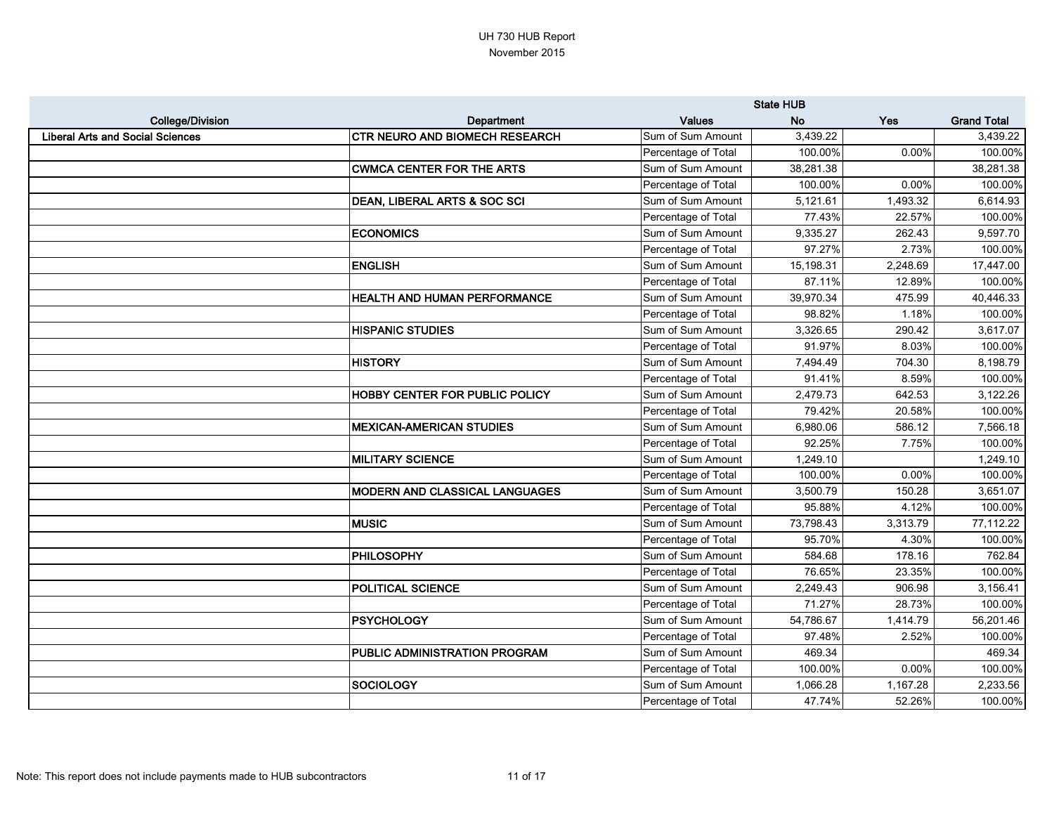|                                         |                                         |                     | <b>State HUB</b> |          |                    |
|-----------------------------------------|-----------------------------------------|---------------------|------------------|----------|--------------------|
| <b>College/Division</b>                 | Department                              | <b>Values</b>       | <b>No</b>        | Yes      | <b>Grand Total</b> |
| <b>Liberal Arts and Social Sciences</b> | <b>CTR NEURO AND BIOMECH RESEARCH</b>   | Sum of Sum Amount   | 3,439.22         |          | 3,439.22           |
|                                         |                                         | Percentage of Total | 100.00%          | 0.00%    | 100.00%            |
|                                         | <b>CWMCA CENTER FOR THE ARTS</b>        | Sum of Sum Amount   | 38,281.38        |          | 38,281.38          |
|                                         |                                         | Percentage of Total | 100.00%          | 0.00%    | 100.00%            |
|                                         | <b>DEAN, LIBERAL ARTS &amp; SOC SCI</b> | Sum of Sum Amount   | 5,121.61         | 1,493.32 | 6,614.93           |
|                                         |                                         | Percentage of Total | 77.43%           | 22.57%   | 100.00%            |
|                                         | <b>ECONOMICS</b>                        | Sum of Sum Amount   | 9,335.27         | 262.43   | 9,597.70           |
|                                         |                                         | Percentage of Total | 97.27%           | 2.73%    | 100.00%            |
|                                         | <b>ENGLISH</b>                          | Sum of Sum Amount   | 15,198.31        | 2,248.69 | 17,447.00          |
|                                         |                                         | Percentage of Total | 87.11%           | 12.89%   | 100.00%            |
|                                         | HEALTH AND HUMAN PERFORMANCE            | Sum of Sum Amount   | 39,970.34        | 475.99   | 40,446.33          |
|                                         |                                         | Percentage of Total | 98.82%           | 1.18%    | 100.00%            |
|                                         | <b>HISPANIC STUDIES</b>                 | Sum of Sum Amount   | 3,326.65         | 290.42   | 3,617.07           |
|                                         |                                         | Percentage of Total | 91.97%           | 8.03%    | 100.00%            |
|                                         | <b>HISTORY</b>                          | Sum of Sum Amount   | 7,494.49         | 704.30   | 8,198.79           |
|                                         |                                         | Percentage of Total | 91.41%           | 8.59%    | 100.00%            |
|                                         | <b>HOBBY CENTER FOR PUBLIC POLICY</b>   | Sum of Sum Amount   | 2,479.73         | 642.53   | 3,122.26           |
|                                         |                                         | Percentage of Total | 79.42%           | 20.58%   | 100.00%            |
|                                         | <b>MEXICAN-AMERICAN STUDIES</b>         | Sum of Sum Amount   | 6,980.06         | 586.12   | 7,566.18           |
|                                         |                                         | Percentage of Total | 92.25%           | 7.75%    | 100.00%            |
|                                         | <b>MILITARY SCIENCE</b>                 | Sum of Sum Amount   | 1,249.10         |          | 1,249.10           |
|                                         |                                         | Percentage of Total | 100.00%          | 0.00%    | 100.00%            |
|                                         | <b>MODERN AND CLASSICAL LANGUAGES</b>   | Sum of Sum Amount   | 3,500.79         | 150.28   | 3,651.07           |
|                                         |                                         | Percentage of Total | 95.88%           | 4.12%    | 100.00%            |
|                                         | <b>MUSIC</b>                            | Sum of Sum Amount   | 73,798.43        | 3,313.79 | 77,112.22          |
|                                         |                                         | Percentage of Total | 95.70%           | 4.30%    | 100.00%            |
|                                         | <b>PHILOSOPHY</b>                       | Sum of Sum Amount   | 584.68           | 178.16   | 762.84             |
|                                         |                                         | Percentage of Total | 76.65%           | 23.35%   | 100.00%            |
|                                         | <b>POLITICAL SCIENCE</b>                | Sum of Sum Amount   | 2,249.43         | 906.98   | 3,156.41           |
|                                         |                                         | Percentage of Total | 71.27%           | 28.73%   | 100.00%            |
|                                         | <b>PSYCHOLOGY</b>                       | Sum of Sum Amount   | 54,786.67        | 1,414.79 | 56,201.46          |
|                                         |                                         | Percentage of Total | 97.48%           | 2.52%    | 100.00%            |
|                                         | <b>PUBLIC ADMINISTRATION PROGRAM</b>    | Sum of Sum Amount   | 469.34           |          | 469.34             |
|                                         |                                         | Percentage of Total | 100.00%          | 0.00%    | 100.00%            |
|                                         | SOCIOLOGY                               | Sum of Sum Amount   | 1,066.28         | 1,167.28 | 2,233.56           |
|                                         |                                         | Percentage of Total | 47.74%           | 52.26%   | 100.00%            |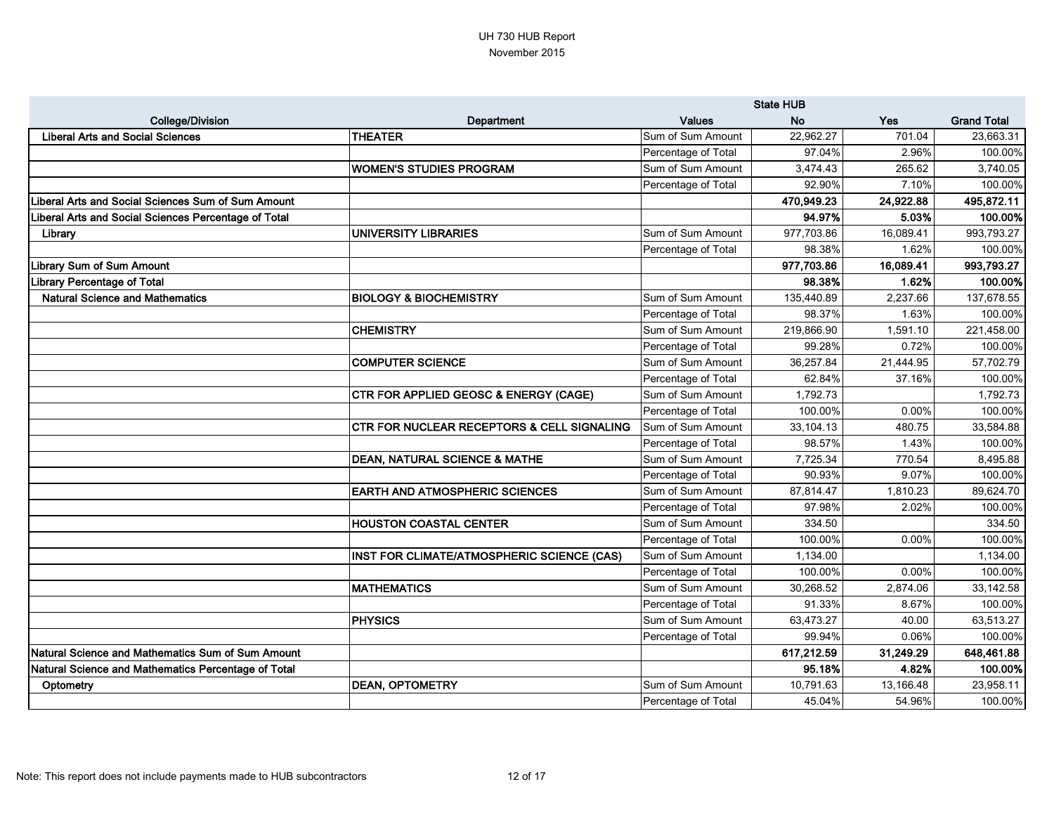|                                                      |                                                       |                     | <b>State HUB</b> |           |                    |
|------------------------------------------------------|-------------------------------------------------------|---------------------|------------------|-----------|--------------------|
| <b>College/Division</b>                              | Department                                            | <b>Values</b>       | <b>No</b>        | Yes       | <b>Grand Total</b> |
| <b>Liberal Arts and Social Sciences</b>              | <b>THEATER</b>                                        | Sum of Sum Amount   | 22,962.27        | 701.04    | 23,663.31          |
|                                                      |                                                       | Percentage of Total | 97.04%           | 2.96%     | 100.00%            |
|                                                      | WOMEN'S STUDIES PROGRAM                               | Sum of Sum Amount   | 3,474.43         | 265.62    | 3,740.05           |
|                                                      |                                                       | Percentage of Total | 92.90%           | 7.10%     | 100.00%            |
| Liberal Arts and Social Sciences Sum of Sum Amount   |                                                       |                     | 470,949.23       | 24,922.88 | 495,872.11         |
| Liberal Arts and Social Sciences Percentage of Total |                                                       |                     | 94.97%           | 5.03%     | 100.00%            |
| Library                                              | <b>UNIVERSITY LIBRARIES</b>                           | Sum of Sum Amount   | 977,703.86       | 16,089.41 | 993,793.27         |
|                                                      |                                                       | Percentage of Total | 98.38%           | 1.62%     | 100.00%            |
| Library Sum of Sum Amount                            |                                                       |                     | 977,703.86       | 16,089.41 | 993,793.27         |
| <b>Library Percentage of Total</b>                   |                                                       |                     | 98.38%           | 1.62%     | 100.00%            |
| <b>Natural Science and Mathematics</b>               | <b>BIOLOGY &amp; BIOCHEMISTRY</b>                     | Sum of Sum Amount   | 135,440.89       | 2,237.66  | 137,678.55         |
|                                                      |                                                       | Percentage of Total | 98.37%           | 1.63%     | 100.00%            |
|                                                      | ICHEMISTRY                                            | Sum of Sum Amount   | 219,866.90       | 1,591.10  | 221,458.00         |
|                                                      |                                                       | Percentage of Total | 99.28%           | 0.72%     | 100.00%            |
|                                                      | <b>COMPUTER SCIENCE</b>                               | Sum of Sum Amount   | 36,257.84        | 21,444.95 | 57,702.79          |
|                                                      |                                                       | Percentage of Total | 62.84%           | 37.16%    | 100.00%            |
|                                                      | <b>CTR FOR APPLIED GEOSC &amp; ENERGY (CAGE)</b>      | Sum of Sum Amount   | 1,792.73         |           | 1,792.73           |
|                                                      |                                                       | Percentage of Total | 100.00%          | 0.00%     | 100.00%            |
|                                                      | <b>CTR FOR NUCLEAR RECEPTORS &amp; CELL SIGNALING</b> | Sum of Sum Amount   | 33,104.13        | 480.75    | 33,584.88          |
|                                                      |                                                       | Percentage of Total | 98.57%           | 1.43%     | 100.00%            |
|                                                      | <b>DEAN, NATURAL SCIENCE &amp; MATHE</b>              | Sum of Sum Amount   | 7,725.34         | 770.54    | 8,495.88           |
|                                                      |                                                       | Percentage of Total | 90.93%           | 9.07%     | 100.00%            |
|                                                      | <b>EARTH AND ATMOSPHERIC SCIENCES</b>                 | Sum of Sum Amount   | 87,814.47        | 1,810.23  | 89,624.70          |
|                                                      |                                                       | Percentage of Total | 97.98%           | 2.02%     | 100.00%            |
|                                                      | <b>HOUSTON COASTAL CENTER</b>                         | Sum of Sum Amount   | 334.50           |           | 334.50             |
|                                                      |                                                       | Percentage of Total | 100.00%          | 0.00%     | 100.00%            |
|                                                      | INST FOR CLIMATE/ATMOSPHERIC SCIENCE (CAS)            | Sum of Sum Amount   | 1,134.00         |           | 1,134.00           |
|                                                      |                                                       | Percentage of Total | 100.00%          | 0.00%     | 100.00%            |
|                                                      | <b>MATHEMATICS</b>                                    | Sum of Sum Amount   | 30,268.52        | 2,874.06  | 33,142.58          |
|                                                      |                                                       | Percentage of Total | 91.33%           | 8.67%     | 100.00%            |
|                                                      | <b>PHYSICS</b>                                        | Sum of Sum Amount   | 63,473.27        | 40.00     | 63,513.27          |
|                                                      |                                                       | Percentage of Total | 99.94%           | 0.06%     | 100.00%            |
| Natural Science and Mathematics Sum of Sum Amount    |                                                       |                     | 617,212.59       | 31,249.29 | 648,461.88         |
| Natural Science and Mathematics Percentage of Total  |                                                       |                     | 95.18%           | 4.82%     | 100.00%            |
| Optometry                                            | <b>DEAN, OPTOMETRY</b>                                | Sum of Sum Amount   | 10,791.63        | 13,166.48 | 23,958.11          |
|                                                      |                                                       | Percentage of Total | 45.04%           | 54.96%    | 100.00%            |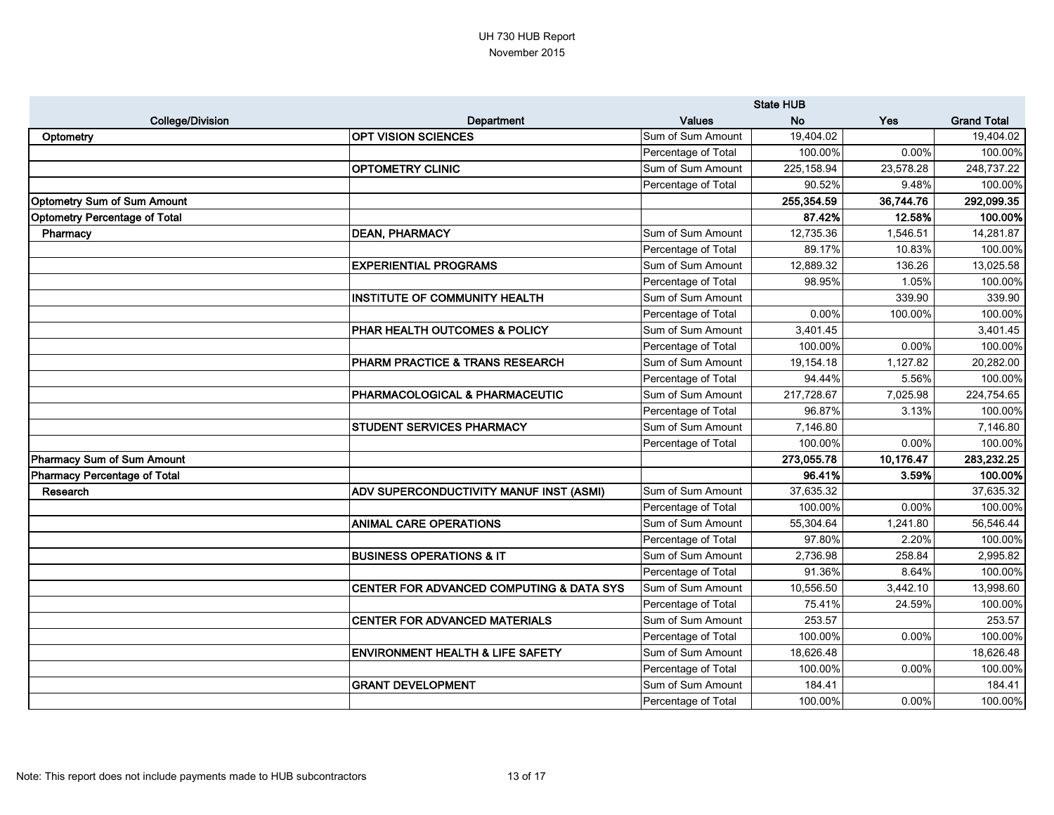|                                      |                                             | <b>State HUB</b>    |             |            |                    |
|--------------------------------------|---------------------------------------------|---------------------|-------------|------------|--------------------|
| <b>College/Division</b>              | Department                                  | <b>Values</b>       | <b>No</b>   | <b>Yes</b> | <b>Grand Total</b> |
| Optometry                            | <b>OPT VISION SCIENCES</b>                  | Sum of Sum Amount   | 19,404.02   |            | 19,404.02          |
|                                      |                                             | Percentage of Total | 100.00%     | 0.00%      | 100.00%            |
|                                      | <b>OPTOMETRY CLINIC</b>                     | Sum of Sum Amount   | 225, 158.94 | 23,578.28  | 248,737.22         |
|                                      |                                             | Percentage of Total | 90.52%      | 9.48%      | 100.00%            |
| <b>Optometry Sum of Sum Amount</b>   |                                             |                     | 255,354.59  | 36,744.76  | 292,099.35         |
| <b>Optometry Percentage of Total</b> |                                             |                     | 87.42%      | 12.58%     | 100.00%            |
| Pharmacy                             | <b>DEAN, PHARMACY</b>                       | Sum of Sum Amount   | 12,735.36   | 1,546.51   | 14,281.87          |
|                                      |                                             | Percentage of Total | 89.17%      | 10.83%     | 100.00%            |
|                                      | <b>EXPERIENTIAL PROGRAMS</b>                | Sum of Sum Amount   | 12,889.32   | 136.26     | 13,025.58          |
|                                      |                                             | Percentage of Total | 98.95%      | 1.05%      | 100.00%            |
|                                      | <b>INSTITUTE OF COMMUNITY HEALTH</b>        | Sum of Sum Amount   |             | 339.90     | 339.90             |
|                                      |                                             | Percentage of Total | 0.00%       | 100.00%    | 100.00%            |
|                                      | PHAR HEALTH OUTCOMES & POLICY               | Sum of Sum Amount   | 3,401.45    |            | 3,401.45           |
|                                      |                                             | Percentage of Total | 100.00%     | 0.00%      | 100.00%            |
|                                      | PHARM PRACTICE & TRANS RESEARCH             | Sum of Sum Amount   | 19,154.18   | 1,127.82   | 20,282.00          |
|                                      |                                             | Percentage of Total | 94.44%      | 5.56%      | 100.00%            |
|                                      | PHARMACOLOGICAL & PHARMACEUTIC              | Sum of Sum Amount   | 217,728.67  | 7,025.98   | 224,754.65         |
|                                      |                                             | Percentage of Total | 96.87%      | 3.13%      | 100.00%            |
|                                      | <b>STUDENT SERVICES PHARMACY</b>            | Sum of Sum Amount   | 7,146.80    |            | 7,146.80           |
|                                      |                                             | Percentage of Total | 100.00%     | 0.00%      | 100.00%            |
| Pharmacy Sum of Sum Amount           |                                             |                     | 273,055.78  | 10,176.47  | 283,232.25         |
| <b>Pharmacy Percentage of Total</b>  |                                             |                     | 96.41%      | 3.59%      | 100.00%            |
| Research                             | ADV SUPERCONDUCTIVITY MANUF INST (ASMI)     | Sum of Sum Amount   | 37,635.32   |            | 37,635.32          |
|                                      |                                             | Percentage of Total | 100.00%     | 0.00%      | 100.00%            |
|                                      | <b>ANIMAL CARE OPERATIONS</b>               | Sum of Sum Amount   | 55,304.64   | 1,241.80   | 56,546.44          |
|                                      |                                             | Percentage of Total | 97.80%      | 2.20%      | 100.00%            |
|                                      | <b>BUSINESS OPERATIONS &amp; IT</b>         | Sum of Sum Amount   | 2,736.98    | 258.84     | 2,995.82           |
|                                      |                                             | Percentage of Total | 91.36%      | 8.64%      | 100.00%            |
|                                      | CENTER FOR ADVANCED COMPUTING & DATA SYS    | Sum of Sum Amount   | 10,556.50   | 3,442.10   | 13,998.60          |
|                                      |                                             | Percentage of Total | 75.41%      | 24.59%     | 100.00%            |
|                                      | <b>CENTER FOR ADVANCED MATERIALS</b>        | Sum of Sum Amount   | 253.57      |            | 253.57             |
|                                      |                                             | Percentage of Total | 100.00%     | 0.00%      | 100.00%            |
|                                      | <b>ENVIRONMENT HEALTH &amp; LIFE SAFETY</b> | Sum of Sum Amount   | 18,626.48   |            | 18,626.48          |
|                                      |                                             | Percentage of Total | 100.00%     | 0.00%      | 100.00%            |
|                                      | <b>GRANT DEVELOPMENT</b>                    | Sum of Sum Amount   | 184.41      |            | 184.41             |
|                                      |                                             | Percentage of Total | 100.00%     | 0.00%      | 100.00%            |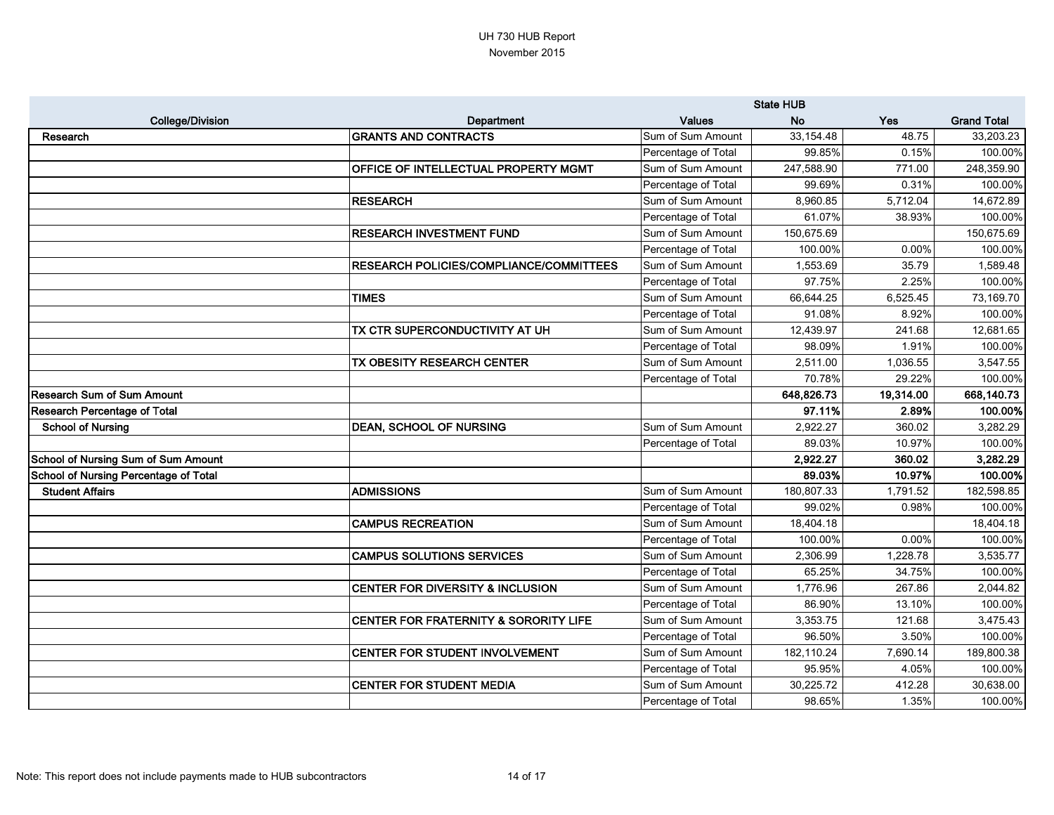|                                            |                                                | <b>State HUB</b>    |            |           |                    |
|--------------------------------------------|------------------------------------------------|---------------------|------------|-----------|--------------------|
| <b>College/Division</b>                    | Department                                     | <b>Values</b>       | <b>No</b>  | Yes       | <b>Grand Total</b> |
| <b>Research</b>                            | <b>GRANTS AND CONTRACTS</b>                    | Sum of Sum Amount   | 33, 154.48 | 48.75     | 33,203.23          |
|                                            |                                                | Percentage of Total | 99.85%     | 0.15%     | 100.00%            |
|                                            | OFFICE OF INTELLECTUAL PROPERTY MGMT           | Sum of Sum Amount   | 247,588.90 | 771.00    | 248,359.90         |
|                                            |                                                | Percentage of Total | 99.69%     | 0.31%     | 100.00%            |
|                                            | <b>RESEARCH</b>                                | Sum of Sum Amount   | 8,960.85   | 5,712.04  | 14,672.89          |
|                                            |                                                | Percentage of Total | 61.07%     | 38.93%    | 100.00%            |
|                                            | <b>RESEARCH INVESTMENT FUND</b>                | Sum of Sum Amount   | 150,675.69 |           | 150,675.69         |
|                                            |                                                | Percentage of Total | 100.00%    | 0.00%     | 100.00%            |
|                                            | <b>RESEARCH POLICIES/COMPLIANCE/COMMITTEES</b> | Sum of Sum Amount   | 1,553.69   | 35.79     | 1,589.48           |
|                                            |                                                | Percentage of Total | 97.75%     | 2.25%     | 100.00%            |
|                                            | <b>TIMES</b>                                   | Sum of Sum Amount   | 66,644.25  | 6,525.45  | 73,169.70          |
|                                            |                                                | Percentage of Total | 91.08%     | 8.92%     | 100.00%            |
|                                            | TX CTR SUPERCONDUCTIVITY AT UH                 | Sum of Sum Amount   | 12,439.97  | 241.68    | 12,681.65          |
|                                            |                                                | Percentage of Total | 98.09%     | 1.91%     | 100.00%            |
|                                            | TX OBESITY RESEARCH CENTER                     | Sum of Sum Amount   | 2,511.00   | 1,036.55  | 3,547.55           |
|                                            |                                                | Percentage of Total | 70.78%     | 29.22%    | 100.00%            |
| Research Sum of Sum Amount                 |                                                |                     | 648,826.73 | 19,314.00 | 668,140.73         |
| <b>Research Percentage of Total</b>        |                                                |                     | 97.11%     | 2.89%     | 100.00%            |
| <b>School of Nursing</b>                   | <b>DEAN, SCHOOL OF NURSING</b>                 | Sum of Sum Amount   | 2,922.27   | 360.02    | 3,282.29           |
|                                            |                                                | Percentage of Total | 89.03%     | 10.97%    | 100.00%            |
| <b>School of Nursing Sum of Sum Amount</b> |                                                |                     | 2,922.27   | 360.02    | 3,282.29           |
| School of Nursing Percentage of Total      |                                                |                     | 89.03%     | 10.97%    | 100.00%            |
| <b>Student Affairs</b>                     | <b>ADMISSIONS</b>                              | Sum of Sum Amount   | 180,807.33 | 1,791.52  | 182,598.85         |
|                                            |                                                | Percentage of Total | 99.02%     | 0.98%     | 100.00%            |
|                                            | <b>CAMPUS RECREATION</b>                       | Sum of Sum Amount   | 18,404.18  |           | 18,404.18          |
|                                            |                                                | Percentage of Total | 100.00%    | 0.00%     | 100.00%            |
|                                            | <b>CAMPUS SOLUTIONS SERVICES</b>               | Sum of Sum Amount   | 2,306.99   | 1,228.78  | 3,535.77           |
|                                            |                                                | Percentage of Total | 65.25%     | 34.75%    | 100.00%            |
|                                            | <b>CENTER FOR DIVERSITY &amp; INCLUSION</b>    | Sum of Sum Amount   | 1,776.96   | 267.86    | 2,044.82           |
|                                            |                                                | Percentage of Total | 86.90%     | 13.10%    | 100.00%            |
|                                            | CENTER FOR FRATERNITY & SORORITY LIFE          | Sum of Sum Amount   | 3,353.75   | 121.68    | 3,475.43           |
|                                            |                                                | Percentage of Total | 96.50%     | 3.50%     | 100.00%            |
|                                            | CENTER FOR STUDENT INVOLVEMENT                 | Sum of Sum Amount   | 182,110.24 | 7,690.14  | 189,800.38         |
|                                            |                                                | Percentage of Total | 95.95%     | 4.05%     | 100.00%            |
|                                            | CENTER FOR STUDENT MEDIA                       | Sum of Sum Amount   | 30,225.72  | 412.28    | 30,638.00          |
|                                            |                                                | Percentage of Total | 98.65%     | 1.35%     | 100.00%            |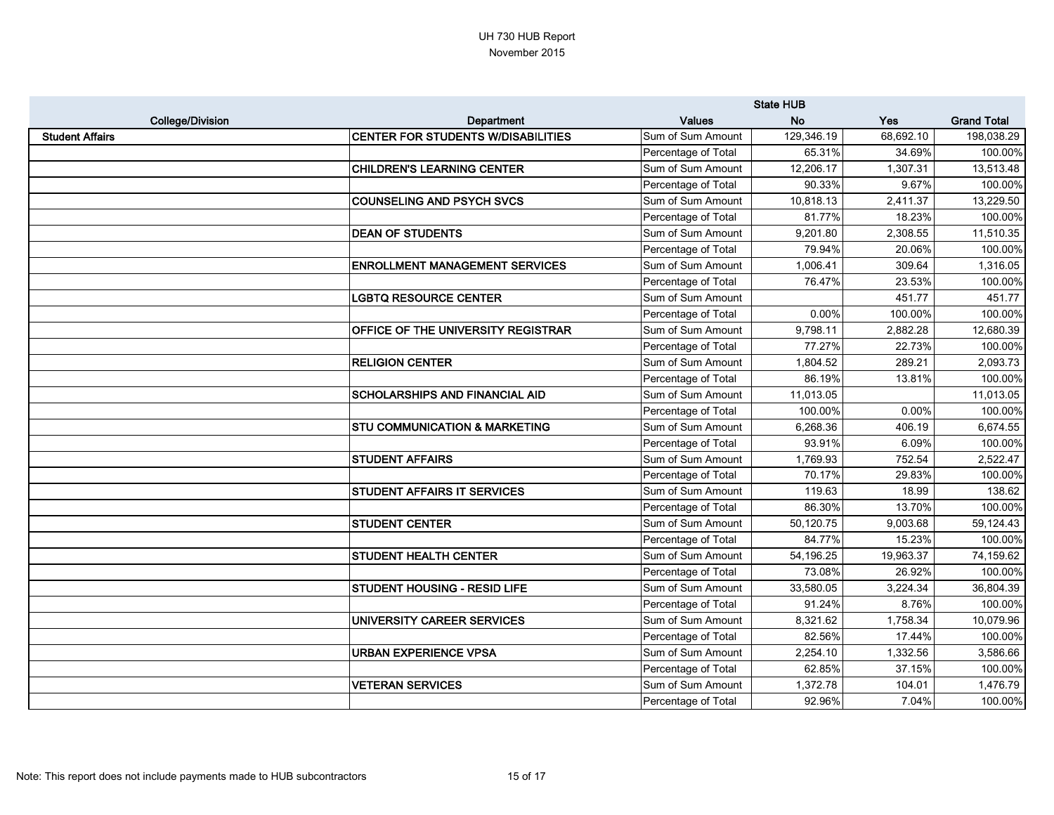|                         |                                           | <b>State HUB</b>    |            |            |                    |
|-------------------------|-------------------------------------------|---------------------|------------|------------|--------------------|
| <b>College/Division</b> | Department                                | <b>Values</b>       | <b>No</b>  | <b>Yes</b> | <b>Grand Total</b> |
| <b>Student Affairs</b>  | <b>CENTER FOR STUDENTS W/DISABILITIES</b> | Sum of Sum Amount   | 129,346.19 | 68,692.10  | 198,038.29         |
|                         |                                           | Percentage of Total | 65.31%     | 34.69%     | 100.00%            |
|                         | <b>CHILDREN'S LEARNING CENTER</b>         | Sum of Sum Amount   | 12,206.17  | 1,307.31   | 13,513.48          |
|                         |                                           | Percentage of Total | 90.33%     | 9.67%      | 100.00%            |
|                         | <b>COUNSELING AND PSYCH SVCS</b>          | Sum of Sum Amount   | 10,818.13  | 2,411.37   | 13,229.50          |
|                         |                                           | Percentage of Total | 81.77%     | 18.23%     | 100.00%            |
|                         | <b>DEAN OF STUDENTS</b>                   | Sum of Sum Amount   | 9,201.80   | 2,308.55   | 11,510.35          |
|                         |                                           | Percentage of Total | 79.94%     | 20.06%     | 100.00%            |
|                         | <b>ENROLLMENT MANAGEMENT SERVICES</b>     | Sum of Sum Amount   | 1,006.41   | 309.64     | 1,316.05           |
|                         |                                           | Percentage of Total | 76.47%     | 23.53%     | 100.00%            |
|                         | <b>LGBTQ RESOURCE CENTER</b>              | Sum of Sum Amount   |            | 451.77     | 451.77             |
|                         |                                           | Percentage of Total | 0.00%      | 100.00%    | 100.00%            |
|                         | OFFICE OF THE UNIVERSITY REGISTRAR        | Sum of Sum Amount   | 9,798.11   | 2,882.28   | 12,680.39          |
|                         |                                           | Percentage of Total | 77.27%     | 22.73%     | 100.00%            |
|                         | <b>RELIGION CENTER</b>                    | Sum of Sum Amount   | 1,804.52   | 289.21     | 2,093.73           |
|                         |                                           | Percentage of Total | 86.19%     | 13.81%     | 100.00%            |
|                         | SCHOLARSHIPS AND FINANCIAL AID            | Sum of Sum Amount   | 11,013.05  |            | 11,013.05          |
|                         |                                           | Percentage of Total | 100.00%    | 0.00%      | 100.00%            |
|                         | <b>STU COMMUNICATION &amp; MARKETING</b>  | Sum of Sum Amount   | 6,268.36   | 406.19     | 6,674.55           |
|                         |                                           | Percentage of Total | 93.91%     | 6.09%      | 100.00%            |
|                         | <b>STUDENT AFFAIRS</b>                    | Sum of Sum Amount   | 1,769.93   | 752.54     | 2,522.47           |
|                         |                                           | Percentage of Total | 70.17%     | 29.83%     | 100.00%            |
|                         | <b>STUDENT AFFAIRS IT SERVICES</b>        | Sum of Sum Amount   | 119.63     | 18.99      | 138.62             |
|                         |                                           | Percentage of Total | 86.30%     | 13.70%     | 100.00%            |
|                         | <b>STUDENT CENTER</b>                     | Sum of Sum Amount   | 50,120.75  | 9,003.68   | 59,124.43          |
|                         |                                           | Percentage of Total | 84.77%     | 15.23%     | 100.00%            |
|                         | <b>STUDENT HEALTH CENTER</b>              | Sum of Sum Amount   | 54,196.25  | 19,963.37  | 74,159.62          |
|                         |                                           | Percentage of Total | 73.08%     | 26.92%     | 100.00%            |
|                         | <b>STUDENT HOUSING - RESID LIFE</b>       | Sum of Sum Amount   | 33,580.05  | 3,224.34   | 36,804.39          |
|                         |                                           | Percentage of Total | 91.24%     | 8.76%      | 100.00%            |
|                         | <b>UNIVERSITY CAREER SERVICES</b>         | Sum of Sum Amount   | 8,321.62   | 1,758.34   | 10,079.96          |
|                         |                                           | Percentage of Total | 82.56%     | 17.44%     | 100.00%            |
|                         | <b>URBAN EXPERIENCE VPSA</b>              | Sum of Sum Amount   | 2,254.10   | 1,332.56   | 3,586.66           |
|                         |                                           | Percentage of Total | 62.85%     | 37.15%     | 100.00%            |
|                         | <b>VETERAN SERVICES</b>                   | Sum of Sum Amount   | 1,372.78   | 104.01     | 1,476.79           |
|                         |                                           | Percentage of Total | 92.96%     | 7.04%      | 100.00%            |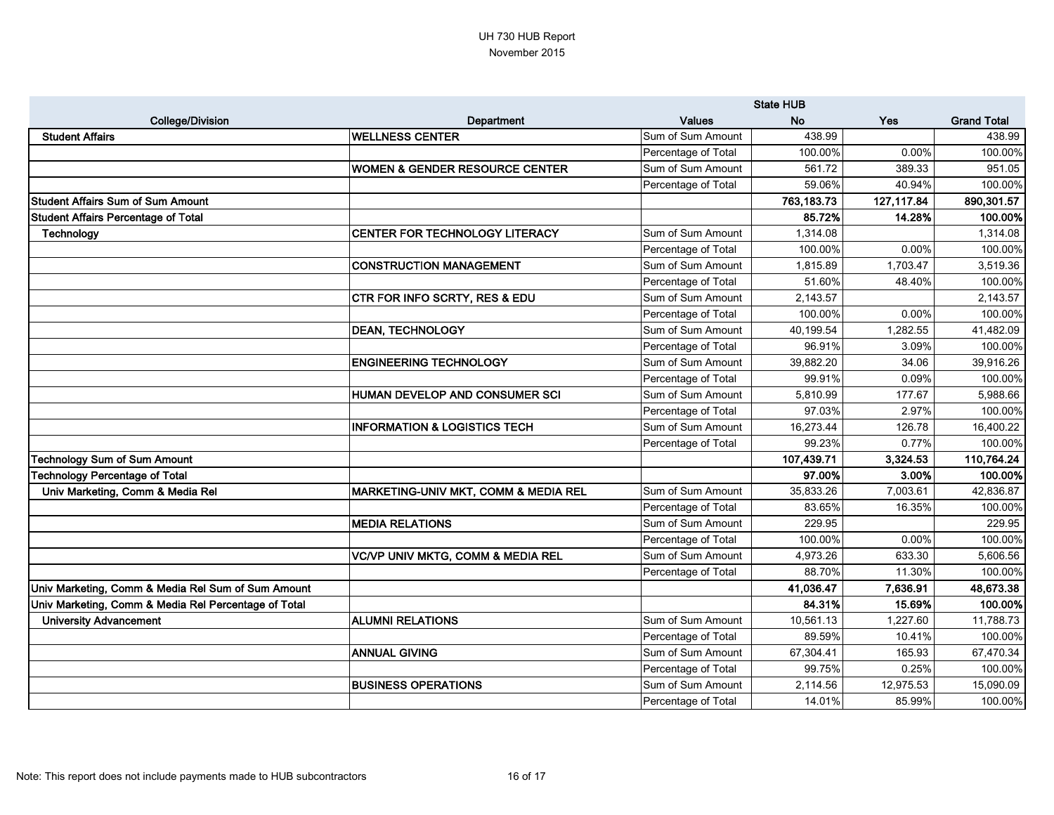|                                                      |                                              | <b>State HUB</b>    |            |             |                    |
|------------------------------------------------------|----------------------------------------------|---------------------|------------|-------------|--------------------|
| <b>College/Division</b>                              | Department                                   | <b>Values</b>       | <b>No</b>  | <b>Yes</b>  | <b>Grand Total</b> |
| <b>Student Affairs</b>                               | <b>WELLNESS CENTER</b>                       | Sum of Sum Amount   | 438.99     |             | 438.99             |
|                                                      |                                              | Percentage of Total | 100.00%    | 0.00%       | 100.00%            |
|                                                      | <b>WOMEN &amp; GENDER RESOURCE CENTER</b>    | Sum of Sum Amount   | 561.72     | 389.33      | 951.05             |
|                                                      |                                              | Percentage of Total | 59.06%     | 40.94%      | 100.00%            |
| <b>Student Affairs Sum of Sum Amount</b>             |                                              |                     | 763,183.73 | 127, 117.84 | 890,301.57         |
| <b>Student Affairs Percentage of Total</b>           |                                              |                     | 85.72%     | 14.28%      | 100.00%            |
| Technology                                           | CENTER FOR TECHNOLOGY LITERACY               | Sum of Sum Amount   | 1,314.08   |             | 1,314.08           |
|                                                      |                                              | Percentage of Total | 100.00%    | 0.00%       | 100.00%            |
|                                                      | <b>CONSTRUCTION MANAGEMENT</b>               | Sum of Sum Amount   | 1,815.89   | 1,703.47    | 3,519.36           |
|                                                      |                                              | Percentage of Total | 51.60%     | 48.40%      | 100.00%            |
|                                                      | CTR FOR INFO SCRTY, RES & EDU                | Sum of Sum Amount   | 2,143.57   |             | 2,143.57           |
|                                                      |                                              | Percentage of Total | 100.00%    | 0.00%       | 100.00%            |
|                                                      | <b>DEAN, TECHNOLOGY</b>                      | Sum of Sum Amount   | 40,199.54  | 1,282.55    | 41,482.09          |
|                                                      |                                              | Percentage of Total | 96.91%     | 3.09%       | 100.00%            |
|                                                      | <b>ENGINEERING TECHNOLOGY</b>                | Sum of Sum Amount   | 39,882.20  | 34.06       | 39,916.26          |
|                                                      |                                              | Percentage of Total | 99.91%     | 0.09%       | 100.00%            |
|                                                      | HUMAN DEVELOP AND CONSUMER SCI               | Sum of Sum Amount   | 5,810.99   | 177.67      | 5,988.66           |
|                                                      |                                              | Percentage of Total | 97.03%     | 2.97%       | 100.00%            |
|                                                      | <b>INFORMATION &amp; LOGISTICS TECH</b>      | Sum of Sum Amount   | 16,273.44  | 126.78      | 16,400.22          |
|                                                      |                                              | Percentage of Total | 99.23%     | 0.77%       | 100.00%            |
| <b>Technology Sum of Sum Amount</b>                  |                                              |                     | 107,439.71 | 3,324.53    | 110,764.24         |
| <b>Technology Percentage of Total</b>                |                                              |                     | 97.00%     | 3.00%       | 100.00%            |
| Univ Marketing, Comm & Media Rel                     | MARKETING-UNIV MKT, COMM & MEDIA REL         | Sum of Sum Amount   | 35,833.26  | 7,003.61    | 42,836.87          |
|                                                      |                                              | Percentage of Total | 83.65%     | 16.35%      | 100.00%            |
|                                                      | <b>MEDIA RELATIONS</b>                       | Sum of Sum Amount   | 229.95     |             | 229.95             |
|                                                      |                                              | Percentage of Total | 100.00%    | 0.00%       | 100.00%            |
|                                                      | <b>VC/VP UNIV MKTG, COMM &amp; MEDIA REL</b> | Sum of Sum Amount   | 4,973.26   | 633.30      | 5,606.56           |
|                                                      |                                              | Percentage of Total | 88.70%     | 11.30%      | 100.00%            |
| Univ Marketing, Comm & Media Rel Sum of Sum Amount   |                                              |                     | 41,036.47  | 7,636.91    | 48,673.38          |
| Univ Marketing, Comm & Media Rel Percentage of Total |                                              |                     | 84.31%     | 15.69%      | 100.00%            |
| <b>University Advancement</b>                        | <b>ALUMNI RELATIONS</b>                      | Sum of Sum Amount   | 10,561.13  | 1,227.60    | 11,788.73          |
|                                                      |                                              | Percentage of Total | 89.59%     | 10.41%      | 100.00%            |
|                                                      | <b>ANNUAL GIVING</b>                         | Sum of Sum Amount   | 67,304.41  | 165.93      | 67,470.34          |
|                                                      |                                              | Percentage of Total | 99.75%     | 0.25%       | 100.00%            |
|                                                      | <b>BUSINESS OPERATIONS</b>                   | Sum of Sum Amount   | 2,114.56   | 12,975.53   | 15,090.09          |
|                                                      |                                              | Percentage of Total | 14.01%     | 85.99%      | 100.00%            |